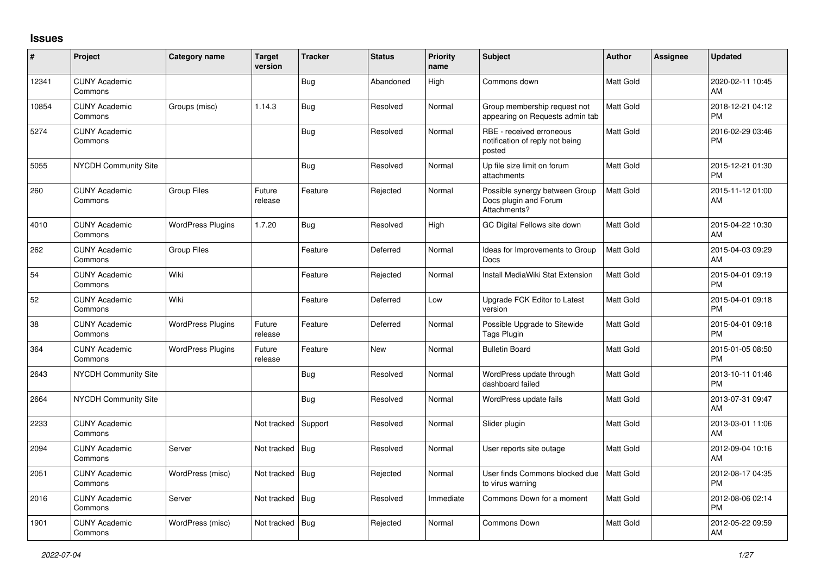## **Issues**

| $\sharp$ | Project                         | Category name            | <b>Target</b><br>version | <b>Tracker</b> | <b>Status</b> | <b>Priority</b><br>name | <b>Subject</b>                                                          | <b>Author</b>    | Assignee | <b>Updated</b>                |
|----------|---------------------------------|--------------------------|--------------------------|----------------|---------------|-------------------------|-------------------------------------------------------------------------|------------------|----------|-------------------------------|
| 12341    | <b>CUNY Academic</b><br>Commons |                          |                          | Bug            | Abandoned     | High                    | Commons down                                                            | <b>Matt Gold</b> |          | 2020-02-11 10:45<br>AM        |
| 10854    | <b>CUNY Academic</b><br>Commons | Groups (misc)            | 1.14.3                   | Bug            | Resolved      | Normal                  | Group membership request not<br>appearing on Requests admin tab         | <b>Matt Gold</b> |          | 2018-12-21 04:12<br><b>PM</b> |
| 5274     | <b>CUNY Academic</b><br>Commons |                          |                          | Bug            | Resolved      | Normal                  | RBE - received erroneous<br>notification of reply not being<br>posted   | <b>Matt Gold</b> |          | 2016-02-29 03:46<br><b>PM</b> |
| 5055     | <b>NYCDH Community Site</b>     |                          |                          | Bug            | Resolved      | Normal                  | Up file size limit on forum<br>attachments                              | <b>Matt Gold</b> |          | 2015-12-21 01:30<br><b>PM</b> |
| 260      | <b>CUNY Academic</b><br>Commons | <b>Group Files</b>       | Future<br>release        | Feature        | Rejected      | Normal                  | Possible synergy between Group<br>Docs plugin and Forum<br>Attachments? | <b>Matt Gold</b> |          | 2015-11-12 01:00<br>AM        |
| 4010     | <b>CUNY Academic</b><br>Commons | <b>WordPress Plugins</b> | 1.7.20                   | <b>Bug</b>     | Resolved      | High                    | GC Digital Fellows site down                                            | Matt Gold        |          | 2015-04-22 10:30<br>AM        |
| 262      | <b>CUNY Academic</b><br>Commons | <b>Group Files</b>       |                          | Feature        | Deferred      | Normal                  | Ideas for Improvements to Group<br>Docs                                 | <b>Matt Gold</b> |          | 2015-04-03 09:29<br>AM        |
| 54       | <b>CUNY Academic</b><br>Commons | Wiki                     |                          | Feature        | Rejected      | Normal                  | Install MediaWiki Stat Extension                                        | <b>Matt Gold</b> |          | 2015-04-01 09:19<br><b>PM</b> |
| 52       | <b>CUNY Academic</b><br>Commons | Wiki                     |                          | Feature        | Deferred      | Low                     | Upgrade FCK Editor to Latest<br>version                                 | <b>Matt Gold</b> |          | 2015-04-01 09:18<br><b>PM</b> |
| 38       | <b>CUNY Academic</b><br>Commons | <b>WordPress Plugins</b> | Future<br>release        | Feature        | Deferred      | Normal                  | Possible Upgrade to Sitewide<br>Tags Plugin                             | <b>Matt Gold</b> |          | 2015-04-01 09:18<br><b>PM</b> |
| 364      | <b>CUNY Academic</b><br>Commons | <b>WordPress Plugins</b> | Future<br>release        | Feature        | New           | Normal                  | <b>Bulletin Board</b>                                                   | <b>Matt Gold</b> |          | 2015-01-05 08:50<br><b>PM</b> |
| 2643     | <b>NYCDH Community Site</b>     |                          |                          | <b>Bug</b>     | Resolved      | Normal                  | WordPress update through<br>dashboard failed                            | <b>Matt Gold</b> |          | 2013-10-11 01:46<br><b>PM</b> |
| 2664     | <b>NYCDH Community Site</b>     |                          |                          | <b>Bug</b>     | Resolved      | Normal                  | WordPress update fails                                                  | <b>Matt Gold</b> |          | 2013-07-31 09:47<br>AM        |
| 2233     | <b>CUNY Academic</b><br>Commons |                          | Not tracked              | Support        | Resolved      | Normal                  | Slider plugin                                                           | <b>Matt Gold</b> |          | 2013-03-01 11:06<br>AM        |
| 2094     | <b>CUNY Academic</b><br>Commons | Server                   | Not tracked              | Bug            | Resolved      | Normal                  | User reports site outage                                                | <b>Matt Gold</b> |          | 2012-09-04 10:16<br>AM        |
| 2051     | <b>CUNY Academic</b><br>Commons | WordPress (misc)         | Not tracked              | Bug            | Rejected      | Normal                  | User finds Commons blocked due<br>to virus warning                      | Matt Gold        |          | 2012-08-17 04:35<br><b>PM</b> |
| 2016     | <b>CUNY Academic</b><br>Commons | Server                   | Not tracked              | Bug            | Resolved      | Immediate               | Commons Down for a moment                                               | <b>Matt Gold</b> |          | 2012-08-06 02:14<br><b>PM</b> |
| 1901     | <b>CUNY Academic</b><br>Commons | WordPress (misc)         | Not tracked              | Bug            | Rejected      | Normal                  | <b>Commons Down</b>                                                     | Matt Gold        |          | 2012-05-22 09:59<br><b>AM</b> |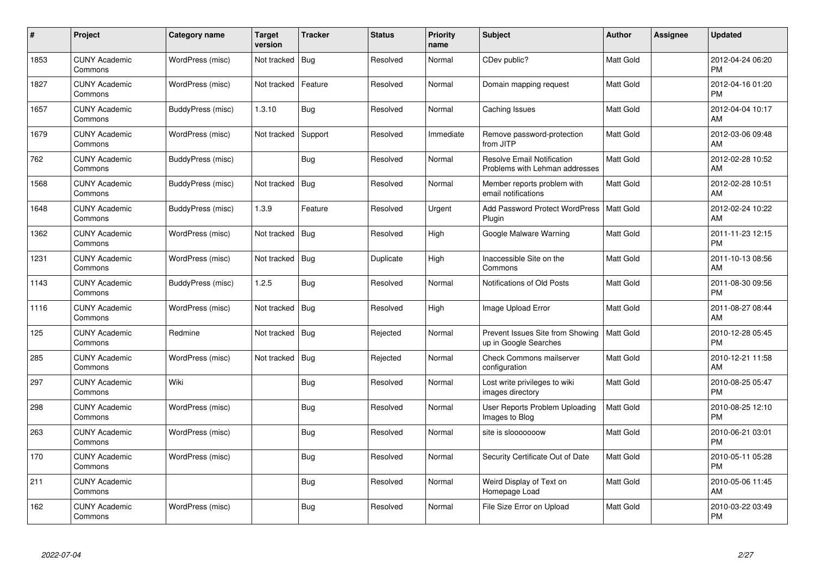| #    | Project                         | Category name     | Target<br>version | <b>Tracker</b> | <b>Status</b> | <b>Priority</b><br>name | <b>Subject</b>                                                      | <b>Author</b>    | Assignee | <b>Updated</b>                |
|------|---------------------------------|-------------------|-------------------|----------------|---------------|-------------------------|---------------------------------------------------------------------|------------------|----------|-------------------------------|
| 1853 | <b>CUNY Academic</b><br>Commons | WordPress (misc)  | Not tracked       | Bug            | Resolved      | Normal                  | CDev public?                                                        | Matt Gold        |          | 2012-04-24 06:20<br><b>PM</b> |
| 1827 | <b>CUNY Academic</b><br>Commons | WordPress (misc)  | Not tracked       | Feature        | Resolved      | Normal                  | Domain mapping request                                              | <b>Matt Gold</b> |          | 2012-04-16 01:20<br><b>PM</b> |
| 1657 | <b>CUNY Academic</b><br>Commons | BuddyPress (misc) | 1.3.10            | <b>Bug</b>     | Resolved      | Normal                  | Caching Issues                                                      | <b>Matt Gold</b> |          | 2012-04-04 10:17<br>AM        |
| 1679 | <b>CUNY Academic</b><br>Commons | WordPress (misc)  | Not tracked       | Support        | Resolved      | Immediate               | Remove password-protection<br>from JITP                             | Matt Gold        |          | 2012-03-06 09:48<br>AM        |
| 762  | <b>CUNY Academic</b><br>Commons | BuddyPress (misc) |                   | <b>Bug</b>     | Resolved      | Normal                  | <b>Resolve Email Notification</b><br>Problems with Lehman addresses | <b>Matt Gold</b> |          | 2012-02-28 10:52<br>AM        |
| 1568 | <b>CUNY Academic</b><br>Commons | BuddyPress (misc) | Not tracked       | Bug            | Resolved      | Normal                  | Member reports problem with<br>email notifications                  | <b>Matt Gold</b> |          | 2012-02-28 10:51<br>AM        |
| 1648 | <b>CUNY Academic</b><br>Commons | BuddyPress (misc) | 1.3.9             | Feature        | Resolved      | Urgent                  | <b>Add Password Protect WordPress</b><br>Plugin                     | <b>Matt Gold</b> |          | 2012-02-24 10:22<br>AM        |
| 1362 | <b>CUNY Academic</b><br>Commons | WordPress (misc)  | Not tracked       | Bug            | Resolved      | High                    | Google Malware Warning                                              | <b>Matt Gold</b> |          | 2011-11-23 12:15<br><b>PM</b> |
| 1231 | <b>CUNY Academic</b><br>Commons | WordPress (misc)  | Not tracked       | Bug            | Duplicate     | High                    | Inaccessible Site on the<br>Commons                                 | <b>Matt Gold</b> |          | 2011-10-13 08:56<br>AM        |
| 1143 | <b>CUNY Academic</b><br>Commons | BuddyPress (misc) | 1.2.5             | <b>Bug</b>     | Resolved      | Normal                  | Notifications of Old Posts                                          | <b>Matt Gold</b> |          | 2011-08-30 09:56<br><b>PM</b> |
| 1116 | <b>CUNY Academic</b><br>Commons | WordPress (misc)  | Not tracked       | Bug            | Resolved      | High                    | Image Upload Error                                                  | <b>Matt Gold</b> |          | 2011-08-27 08:44<br>AM        |
| 125  | <b>CUNY Academic</b><br>Commons | Redmine           | Not tracked   Bug |                | Rejected      | Normal                  | Prevent Issues Site from Showing<br>up in Google Searches           | <b>Matt Gold</b> |          | 2010-12-28 05:45<br>PM        |
| 285  | <b>CUNY Academic</b><br>Commons | WordPress (misc)  | Not tracked       | Bug            | Rejected      | Normal                  | <b>Check Commons mailserver</b><br>configuration                    | <b>Matt Gold</b> |          | 2010-12-21 11:58<br>AM        |
| 297  | <b>CUNY Academic</b><br>Commons | Wiki              |                   | Bug            | Resolved      | Normal                  | Lost write privileges to wiki<br>images directory                   | <b>Matt Gold</b> |          | 2010-08-25 05:47<br><b>PM</b> |
| 298  | <b>CUNY Academic</b><br>Commons | WordPress (misc)  |                   | <b>Bug</b>     | Resolved      | Normal                  | User Reports Problem Uploading<br>Images to Blog                    | Matt Gold        |          | 2010-08-25 12:10<br><b>PM</b> |
| 263  | <b>CUNY Academic</b><br>Commons | WordPress (misc)  |                   | <b>Bug</b>     | Resolved      | Normal                  | site is slooooooow                                                  | <b>Matt Gold</b> |          | 2010-06-21 03:01<br><b>PM</b> |
| 170  | <b>CUNY Academic</b><br>Commons | WordPress (misc)  |                   | Bug            | Resolved      | Normal                  | Security Certificate Out of Date                                    | <b>Matt Gold</b> |          | 2010-05-11 05:28<br><b>PM</b> |
| 211  | <b>CUNY Academic</b><br>Commons |                   |                   | <b>Bug</b>     | Resolved      | Normal                  | Weird Display of Text on<br>Homepage Load                           | Matt Gold        |          | 2010-05-06 11:45<br>AM        |
| 162  | CUNY Academic<br>Commons        | WordPress (misc)  |                   | <b>Bug</b>     | Resolved      | Normal                  | File Size Error on Upload                                           | <b>Matt Gold</b> |          | 2010-03-22 03:49<br>PM        |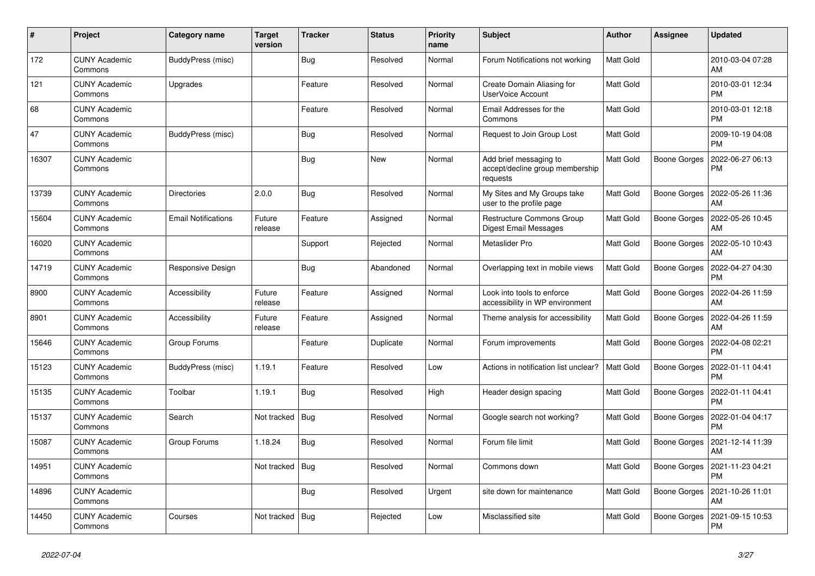| $\pmb{\sharp}$ | Project                         | Category name              | <b>Target</b><br>version | <b>Tracker</b> | <b>Status</b> | <b>Priority</b><br>name | <b>Subject</b>                                                        | <b>Author</b>    | Assignee            | <b>Updated</b>                |
|----------------|---------------------------------|----------------------------|--------------------------|----------------|---------------|-------------------------|-----------------------------------------------------------------------|------------------|---------------------|-------------------------------|
| 172            | <b>CUNY Academic</b><br>Commons | BuddyPress (misc)          |                          | <b>Bug</b>     | Resolved      | Normal                  | Forum Notifications not working                                       | Matt Gold        |                     | 2010-03-04 07:28<br>AM        |
| 121            | <b>CUNY Academic</b><br>Commons | Upgrades                   |                          | Feature        | Resolved      | Normal                  | Create Domain Aliasing for<br><b>UserVoice Account</b>                | <b>Matt Gold</b> |                     | 2010-03-01 12:34<br><b>PM</b> |
| 68             | <b>CUNY Academic</b><br>Commons |                            |                          | Feature        | Resolved      | Normal                  | Email Addresses for the<br>Commons                                    | Matt Gold        |                     | 2010-03-01 12:18<br><b>PM</b> |
| 47             | <b>CUNY Academic</b><br>Commons | BuddyPress (misc)          |                          | <b>Bug</b>     | Resolved      | Normal                  | Request to Join Group Lost                                            | Matt Gold        |                     | 2009-10-19 04:08<br><b>PM</b> |
| 16307          | <b>CUNY Academic</b><br>Commons |                            |                          | Bug            | New           | Normal                  | Add brief messaging to<br>accept/decline group membership<br>requests | <b>Matt Gold</b> | <b>Boone Gorges</b> | 2022-06-27 06:13<br>PM        |
| 13739          | <b>CUNY Academic</b><br>Commons | <b>Directories</b>         | 2.0.0                    | <b>Bug</b>     | Resolved      | Normal                  | My Sites and My Groups take<br>user to the profile page               | Matt Gold        | Boone Gorges        | 2022-05-26 11:36<br>AM        |
| 15604          | <b>CUNY Academic</b><br>Commons | <b>Email Notifications</b> | Future<br>release        | Feature        | Assigned      | Normal                  | <b>Restructure Commons Group</b><br>Digest Email Messages             | <b>Matt Gold</b> | <b>Boone Gorges</b> | 2022-05-26 10:45<br>AM        |
| 16020          | <b>CUNY Academic</b><br>Commons |                            |                          | Support        | Rejected      | Normal                  | Metaslider Pro                                                        | Matt Gold        | Boone Gorges        | 2022-05-10 10:43<br>AM        |
| 14719          | <b>CUNY Academic</b><br>Commons | Responsive Design          |                          | <b>Bug</b>     | Abandoned     | Normal                  | Overlapping text in mobile views                                      | <b>Matt Gold</b> | Boone Gorges        | 2022-04-27 04:30<br><b>PM</b> |
| 8900           | <b>CUNY Academic</b><br>Commons | Accessibility              | Future<br>release        | Feature        | Assigned      | Normal                  | Look into tools to enforce<br>accessibility in WP environment         | <b>Matt Gold</b> | Boone Gorges        | 2022-04-26 11:59<br>AM        |
| 8901           | <b>CUNY Academic</b><br>Commons | Accessibility              | Future<br>release        | Feature        | Assigned      | Normal                  | Theme analysis for accessibility                                      | Matt Gold        | Boone Gorges        | 2022-04-26 11:59<br>AM        |
| 15646          | <b>CUNY Academic</b><br>Commons | Group Forums               |                          | Feature        | Duplicate     | Normal                  | Forum improvements                                                    | Matt Gold        | Boone Gorges        | 2022-04-08 02:21<br><b>PM</b> |
| 15123          | <b>CUNY Academic</b><br>Commons | BuddyPress (misc)          | 1.19.1                   | Feature        | Resolved      | Low                     | Actions in notification list unclear?                                 | <b>Matt Gold</b> | <b>Boone Gorges</b> | 2022-01-11 04:41<br><b>PM</b> |
| 15135          | <b>CUNY Academic</b><br>Commons | Toolbar                    | 1.19.1                   | <b>Bug</b>     | Resolved      | High                    | Header design spacing                                                 | <b>Matt Gold</b> | <b>Boone Gorges</b> | 2022-01-11 04:41<br><b>PM</b> |
| 15137          | <b>CUNY Academic</b><br>Commons | Search                     | Not tracked              | Bug            | Resolved      | Normal                  | Google search not working?                                            | Matt Gold        | Boone Gorges        | 2022-01-04 04:17<br><b>PM</b> |
| 15087          | <b>CUNY Academic</b><br>Commons | Group Forums               | 1.18.24                  | <b>Bug</b>     | Resolved      | Normal                  | Forum file limit                                                      | Matt Gold        | Boone Gorges        | 2021-12-14 11:39<br>AM        |
| 14951          | <b>CUNY Academic</b><br>Commons |                            | Not tracked              | Bug            | Resolved      | Normal                  | Commons down                                                          | <b>Matt Gold</b> | Boone Gorges        | 2021-11-23 04:21<br><b>PM</b> |
| 14896          | <b>CUNY Academic</b><br>Commons |                            |                          | <b>Bug</b>     | Resolved      | Urgent                  | site down for maintenance                                             | <b>Matt Gold</b> | Boone Gorges        | 2021-10-26 11:01<br>AM        |
| 14450          | <b>CUNY Academic</b><br>Commons | Courses                    | Not tracked              | Bug            | Rejected      | Low                     | Misclassified site                                                    | Matt Gold        | Boone Gorges        | 2021-09-15 10:53<br><b>PM</b> |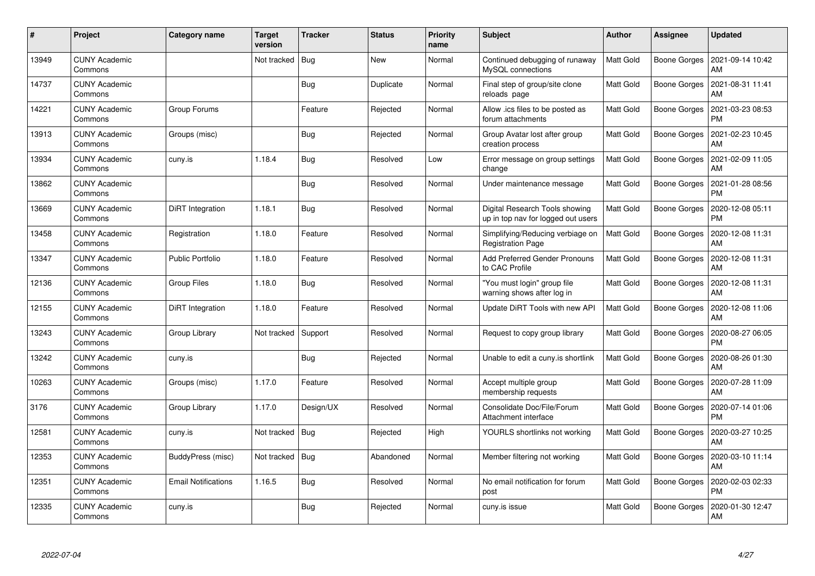| $\pmb{\#}$ | Project                         | Category name              | Target<br>version | <b>Tracker</b> | <b>Status</b> | <b>Priority</b><br>name | <b>Subject</b>                                                       | <b>Author</b>    | Assignee            | <b>Updated</b>                |
|------------|---------------------------------|----------------------------|-------------------|----------------|---------------|-------------------------|----------------------------------------------------------------------|------------------|---------------------|-------------------------------|
| 13949      | <b>CUNY Academic</b><br>Commons |                            | Not tracked       | Bug            | <b>New</b>    | Normal                  | Continued debugging of runaway<br>MySQL connections                  | <b>Matt Gold</b> | <b>Boone Gorges</b> | 2021-09-14 10:42<br>AM        |
| 14737      | CUNY Academic<br>Commons        |                            |                   | <b>Bug</b>     | Duplicate     | Normal                  | Final step of group/site clone<br>reloads page                       | Matt Gold        | <b>Boone Gorges</b> | 2021-08-31 11:41<br>AM        |
| 14221      | <b>CUNY Academic</b><br>Commons | Group Forums               |                   | Feature        | Rejected      | Normal                  | Allow .ics files to be posted as<br>forum attachments                | <b>Matt Gold</b> | <b>Boone Gorges</b> | 2021-03-23 08:53<br><b>PM</b> |
| 13913      | <b>CUNY Academic</b><br>Commons | Groups (misc)              |                   | <b>Bug</b>     | Rejected      | Normal                  | Group Avatar lost after group<br>creation process                    | Matt Gold        | Boone Gorges        | 2021-02-23 10:45<br>AM        |
| 13934      | <b>CUNY Academic</b><br>Commons | cuny.is                    | 1.18.4            | <b>Bug</b>     | Resolved      | Low                     | Error message on group settings<br>change                            | <b>Matt Gold</b> | Boone Gorges        | 2021-02-09 11:05<br>AM        |
| 13862      | <b>CUNY Academic</b><br>Commons |                            |                   | <b>Bug</b>     | Resolved      | Normal                  | Under maintenance message                                            | Matt Gold        | <b>Boone Gorges</b> | 2021-01-28 08:56<br><b>PM</b> |
| 13669      | <b>CUNY Academic</b><br>Commons | DiRT Integration           | 1.18.1            | Bug            | Resolved      | Normal                  | Digital Research Tools showing<br>up in top nav for logged out users | <b>Matt Gold</b> | <b>Boone Gorges</b> | 2020-12-08 05:11<br><b>PM</b> |
| 13458      | <b>CUNY Academic</b><br>Commons | Registration               | 1.18.0            | Feature        | Resolved      | Normal                  | Simplifying/Reducing verbiage on<br><b>Registration Page</b>         | <b>Matt Gold</b> | Boone Gorges        | 2020-12-08 11:31<br>AM        |
| 13347      | <b>CUNY Academic</b><br>Commons | <b>Public Portfolio</b>    | 1.18.0            | Feature        | Resolved      | Normal                  | Add Preferred Gender Pronouns<br>to CAC Profile                      | <b>Matt Gold</b> | <b>Boone Gorges</b> | 2020-12-08 11:31<br>AM        |
| 12136      | <b>CUNY Academic</b><br>Commons | <b>Group Files</b>         | 1.18.0            | Bug            | Resolved      | Normal                  | 'You must login" group file<br>warning shows after log in            | Matt Gold        | <b>Boone Gorges</b> | 2020-12-08 11:31<br>AM        |
| 12155      | <b>CUNY Academic</b><br>Commons | DiRT Integration           | 1.18.0            | Feature        | Resolved      | Normal                  | Update DiRT Tools with new API                                       | Matt Gold        | Boone Gorges        | 2020-12-08 11:06<br>AM        |
| 13243      | <b>CUNY Academic</b><br>Commons | Group Library              | Not tracked       | Support        | Resolved      | Normal                  | Request to copy group library                                        | <b>Matt Gold</b> | <b>Boone Gorges</b> | 2020-08-27 06:05<br><b>PM</b> |
| 13242      | <b>CUNY Academic</b><br>Commons | cuny.is                    |                   | <b>Bug</b>     | Rejected      | Normal                  | Unable to edit a cuny is shortlink                                   | <b>Matt Gold</b> | <b>Boone Gorges</b> | 2020-08-26 01:30<br>AM        |
| 10263      | <b>CUNY Academic</b><br>Commons | Groups (misc)              | 1.17.0            | Feature        | Resolved      | Normal                  | Accept multiple group<br>membership requests                         | <b>Matt Gold</b> | <b>Boone Gorges</b> | 2020-07-28 11:09<br>AM        |
| 3176       | <b>CUNY Academic</b><br>Commons | Group Library              | 1.17.0            | Design/UX      | Resolved      | Normal                  | Consolidate Doc/File/Forum<br>Attachment interface                   | <b>Matt Gold</b> | <b>Boone Gorges</b> | 2020-07-14 01:06<br><b>PM</b> |
| 12581      | <b>CUNY Academic</b><br>Commons | cuny.is                    | Not tracked   Bug |                | Rejected      | High                    | YOURLS shortlinks not working                                        | <b>Matt Gold</b> | Boone Gorges        | 2020-03-27 10:25<br>AM        |
| 12353      | <b>CUNY Academic</b><br>Commons | BuddyPress (misc)          | Not tracked       | Bug            | Abandoned     | Normal                  | Member filtering not working                                         | <b>Matt Gold</b> | Boone Gorges        | 2020-03-10 11:14<br>AM        |
| 12351      | <b>CUNY Academic</b><br>Commons | <b>Email Notifications</b> | 1.16.5            | <b>Bug</b>     | Resolved      | Normal                  | No email notification for forum<br>post                              | Matt Gold        | <b>Boone Gorges</b> | 2020-02-03 02:33<br><b>PM</b> |
| 12335      | <b>CUNY Academic</b><br>Commons | cuny.is                    |                   | <b>Bug</b>     | Rejected      | Normal                  | cuny.is issue                                                        | Matt Gold        | Boone Gorges        | 2020-01-30 12:47<br>AM        |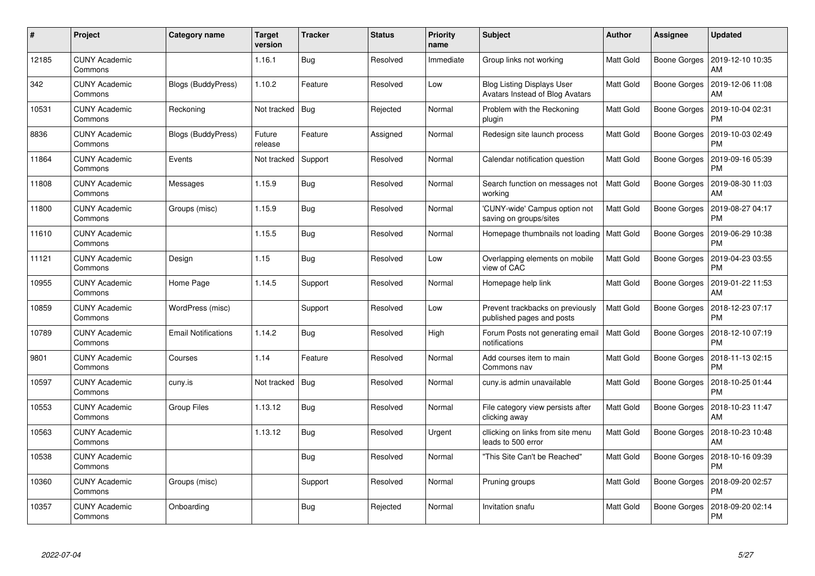| $\#$  | Project                         | Category name              | Target<br>version | <b>Tracker</b> | <b>Status</b> | <b>Priority</b><br>name | <b>Subject</b>                                                       | <b>Author</b>    | Assignee            | <b>Updated</b>                |
|-------|---------------------------------|----------------------------|-------------------|----------------|---------------|-------------------------|----------------------------------------------------------------------|------------------|---------------------|-------------------------------|
| 12185 | <b>CUNY Academic</b><br>Commons |                            | 1.16.1            | <b>Bug</b>     | Resolved      | Immediate               | Group links not working                                              | <b>Matt Gold</b> | <b>Boone Gorges</b> | 2019-12-10 10:35<br>AM        |
| 342   | <b>CUNY Academic</b><br>Commons | Blogs (BuddyPress)         | 1.10.2            | Feature        | Resolved      | Low                     | <b>Blog Listing Displays User</b><br>Avatars Instead of Blog Avatars | <b>Matt Gold</b> | <b>Boone Gorges</b> | 2019-12-06 11:08<br>AM        |
| 10531 | <b>CUNY Academic</b><br>Commons | Reckoning                  | Not tracked       | Bug            | Rejected      | Normal                  | Problem with the Reckoning<br>plugin                                 | Matt Gold        | <b>Boone Gorges</b> | 2019-10-04 02:31<br><b>PM</b> |
| 8836  | <b>CUNY Academic</b><br>Commons | Blogs (BuddyPress)         | Future<br>release | Feature        | Assigned      | Normal                  | Redesign site launch process                                         | Matt Gold        | Boone Gorges        | 2019-10-03 02:49<br><b>PM</b> |
| 11864 | <b>CUNY Academic</b><br>Commons | Events                     | Not tracked       | Support        | Resolved      | Normal                  | Calendar notification question                                       | <b>Matt Gold</b> | <b>Boone Gorges</b> | 2019-09-16 05:39<br><b>PM</b> |
| 11808 | <b>CUNY Academic</b><br>Commons | Messages                   | 1.15.9            | <b>Bug</b>     | Resolved      | Normal                  | Search function on messages not<br>working                           | <b>Matt Gold</b> | Boone Gorges        | 2019-08-30 11:03<br>AM        |
| 11800 | <b>CUNY Academic</b><br>Commons | Groups (misc)              | 1.15.9            | <b>Bug</b>     | Resolved      | Normal                  | 'CUNY-wide' Campus option not<br>saving on groups/sites              | <b>Matt Gold</b> | <b>Boone Gorges</b> | 2019-08-27 04:17<br><b>PM</b> |
| 11610 | <b>CUNY Academic</b><br>Commons |                            | 1.15.5            | <b>Bug</b>     | Resolved      | Normal                  | Homepage thumbnails not loading   Matt Gold                          |                  | <b>Boone Gorges</b> | 2019-06-29 10:38<br><b>PM</b> |
| 11121 | <b>CUNY Academic</b><br>Commons | Design                     | 1.15              | <b>Bug</b>     | Resolved      | Low                     | Overlapping elements on mobile<br>view of CAC                        | <b>Matt Gold</b> | <b>Boone Gorges</b> | 2019-04-23 03:55<br><b>PM</b> |
| 10955 | <b>CUNY Academic</b><br>Commons | Home Page                  | 1.14.5            | Support        | Resolved      | Normal                  | Homepage help link                                                   | <b>Matt Gold</b> | Boone Gorges        | 2019-01-22 11:53<br>AM        |
| 10859 | <b>CUNY Academic</b><br>Commons | WordPress (misc)           |                   | Support        | Resolved      | Low                     | Prevent trackbacks on previously<br>published pages and posts        | <b>Matt Gold</b> | <b>Boone Gorges</b> | 2018-12-23 07:17<br><b>PM</b> |
| 10789 | <b>CUNY Academic</b><br>Commons | <b>Email Notifications</b> | 1.14.2            | Bug            | Resolved      | High                    | Forum Posts not generating email<br>notifications                    | <b>Matt Gold</b> | Boone Gorges        | 2018-12-10 07:19<br><b>PM</b> |
| 9801  | <b>CUNY Academic</b><br>Commons | Courses                    | 1.14              | Feature        | Resolved      | Normal                  | Add courses item to main<br>Commons nav                              | <b>Matt Gold</b> | Boone Gorges        | 2018-11-13 02:15<br>PM        |
| 10597 | <b>CUNY Academic</b><br>Commons | cuny.is                    | Not tracked       | Bug            | Resolved      | Normal                  | cuny.is admin unavailable                                            | <b>Matt Gold</b> | <b>Boone Gorges</b> | 2018-10-25 01:44<br><b>PM</b> |
| 10553 | <b>CUNY Academic</b><br>Commons | Group Files                | 1.13.12           | Bug            | Resolved      | Normal                  | File category view persists after<br>clicking away                   | Matt Gold        | <b>Boone Gorges</b> | 2018-10-23 11:47<br>AM        |
| 10563 | <b>CUNY Academic</b><br>Commons |                            | 1.13.12           | <b>Bug</b>     | Resolved      | Urgent                  | cllicking on links from site menu<br>leads to 500 error              | Matt Gold        | Boone Gorges        | 2018-10-23 10:48<br>AM        |
| 10538 | <b>CUNY Academic</b><br>Commons |                            |                   | <b>Bug</b>     | Resolved      | Normal                  | "This Site Can't be Reached"                                         | <b>Matt Gold</b> | <b>Boone Gorges</b> | 2018-10-16 09:39<br><b>PM</b> |
| 10360 | <b>CUNY Academic</b><br>Commons | Groups (misc)              |                   | Support        | Resolved      | Normal                  | Pruning groups                                                       | <b>Matt Gold</b> | <b>Boone Gorges</b> | 2018-09-20 02:57<br><b>PM</b> |
| 10357 | <b>CUNY Academic</b><br>Commons | Onboarding                 |                   | <b>Bug</b>     | Rejected      | Normal                  | Invitation snafu                                                     | Matt Gold        | Boone Gorges        | 2018-09-20 02:14<br>PM        |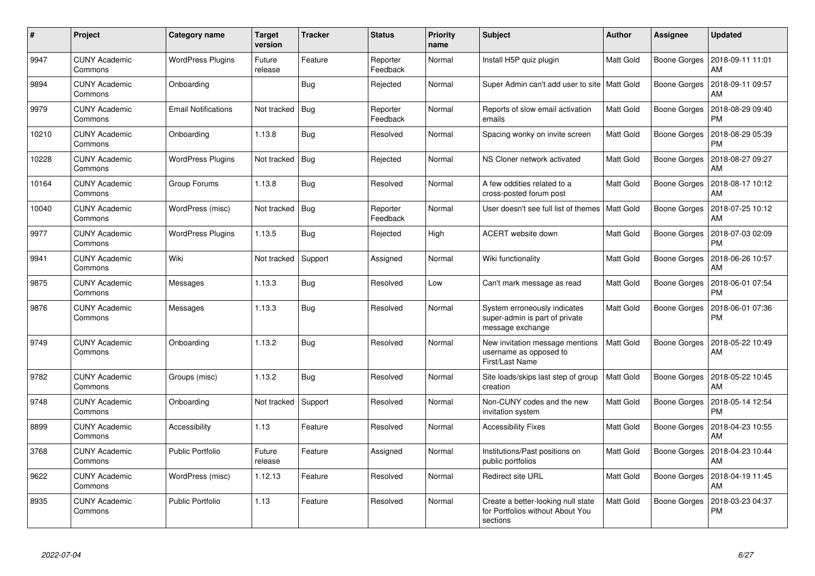| #     | Project                         | Category name              | <b>Target</b><br>version | <b>Tracker</b> | <b>Status</b>        | <b>Priority</b><br>name | <b>Subject</b>                                                                     | <b>Author</b>    | Assignee            | <b>Updated</b>                |
|-------|---------------------------------|----------------------------|--------------------------|----------------|----------------------|-------------------------|------------------------------------------------------------------------------------|------------------|---------------------|-------------------------------|
| 9947  | <b>CUNY Academic</b><br>Commons | <b>WordPress Plugins</b>   | Future<br>release        | Feature        | Reporter<br>Feedback | Normal                  | Install H5P quiz plugin                                                            | Matt Gold        | <b>Boone Gorges</b> | 2018-09-11 11:01<br>AM        |
| 9894  | <b>CUNY Academic</b><br>Commons | Onboarding                 |                          | Bug            | Rejected             | Normal                  | Super Admin can't add user to site   Matt Gold                                     |                  | <b>Boone Gorges</b> | 2018-09-11 09:57<br>AM        |
| 9979  | <b>CUNY Academic</b><br>Commons | <b>Email Notifications</b> | Not tracked              | Bua            | Reporter<br>Feedback | Normal                  | Reports of slow email activation<br>emails                                         | <b>Matt Gold</b> | <b>Boone Gorges</b> | 2018-08-29 09:40<br><b>PM</b> |
| 10210 | <b>CUNY Academic</b><br>Commons | Onboarding                 | 1.13.8                   | Bug            | Resolved             | Normal                  | Spacing wonky on invite screen                                                     | Matt Gold        | <b>Boone Gorges</b> | 2018-08-29 05:39<br><b>PM</b> |
| 10228 | <b>CUNY Academic</b><br>Commons | <b>WordPress Plugins</b>   | Not tracked              | Bug            | Rejected             | Normal                  | NS Cloner network activated                                                        | <b>Matt Gold</b> | <b>Boone Gorges</b> | 2018-08-27 09:27<br>AM        |
| 10164 | <b>CUNY Academic</b><br>Commons | Group Forums               | 1.13.8                   | <b>Bug</b>     | Resolved             | Normal                  | A few oddities related to a<br>cross-posted forum post                             | Matt Gold        | <b>Boone Gorges</b> | 2018-08-17 10:12<br>AM        |
| 10040 | <b>CUNY Academic</b><br>Commons | WordPress (misc)           | Not tracked              | Bug            | Reporter<br>Feedback | Normal                  | User doesn't see full list of themes                                               | Matt Gold        | <b>Boone Gorges</b> | 2018-07-25 10:12<br>AM        |
| 9977  | <b>CUNY Academic</b><br>Commons | <b>WordPress Plugins</b>   | 1.13.5                   | <b>Bug</b>     | Rejected             | High                    | ACERT website down                                                                 | Matt Gold        | Boone Gorges        | 2018-07-03 02:09<br><b>PM</b> |
| 9941  | <b>CUNY Academic</b><br>Commons | Wiki                       | Not tracked              | Support        | Assigned             | Normal                  | Wiki functionality                                                                 | Matt Gold        | <b>Boone Gorges</b> | 2018-06-26 10:57<br>AM        |
| 9875  | <b>CUNY Academic</b><br>Commons | Messages                   | 1.13.3                   | <b>Bug</b>     | Resolved             | Low                     | Can't mark message as read                                                         | <b>Matt Gold</b> | <b>Boone Gorges</b> | 2018-06-01 07:54<br><b>PM</b> |
| 9876  | <b>CUNY Academic</b><br>Commons | Messages                   | 1.13.3                   | <b>Bug</b>     | Resolved             | Normal                  | System erroneously indicates<br>super-admin is part of private<br>message exchange | Matt Gold        | <b>Boone Gorges</b> | 2018-06-01 07:36<br><b>PM</b> |
| 9749  | <b>CUNY Academic</b><br>Commons | Onboarding                 | 1.13.2                   | <b>Bug</b>     | Resolved             | Normal                  | New invitation message mentions<br>username as opposed to<br>First/Last Name       | <b>Matt Gold</b> | Boone Gorges        | 2018-05-22 10:49<br>AM        |
| 9782  | <b>CUNY Academic</b><br>Commons | Groups (misc)              | 1.13.2                   | Bug            | Resolved             | Normal                  | Site loads/skips last step of group<br>creation                                    | <b>Matt Gold</b> | <b>Boone Gorges</b> | 2018-05-22 10:45<br>AM        |
| 9748  | <b>CUNY Academic</b><br>Commons | Onboarding                 | Not tracked              | Support        | Resolved             | Normal                  | Non-CUNY codes and the new<br>invitation system                                    | <b>Matt Gold</b> | Boone Gorges        | 2018-05-14 12:54<br><b>PM</b> |
| 8899  | <b>CUNY Academic</b><br>Commons | Accessibility              | 1.13                     | Feature        | Resolved             | Normal                  | <b>Accessibility Fixes</b>                                                         | <b>Matt Gold</b> | Boone Gorges        | 2018-04-23 10:55<br>AM        |
| 3768  | <b>CUNY Academic</b><br>Commons | <b>Public Portfolio</b>    | Future<br>release        | Feature        | Assigned             | Normal                  | Institutions/Past positions on<br>public portfolios                                | <b>Matt Gold</b> | <b>Boone Gorges</b> | 2018-04-23 10:44<br>AM        |
| 9622  | <b>CUNY Academic</b><br>Commons | WordPress (misc)           | 1.12.13                  | Feature        | Resolved             | Normal                  | <b>Redirect site URL</b>                                                           | <b>Matt Gold</b> | <b>Boone Gorges</b> | 2018-04-19 11:45<br>AM        |
| 8935  | <b>CUNY Academic</b><br>Commons | <b>Public Portfolio</b>    | 1.13                     | Feature        | Resolved             | Normal                  | Create a better-looking null state<br>for Portfolios without About You<br>sections | Matt Gold        | <b>Boone Gorges</b> | 2018-03-23 04:37<br><b>PM</b> |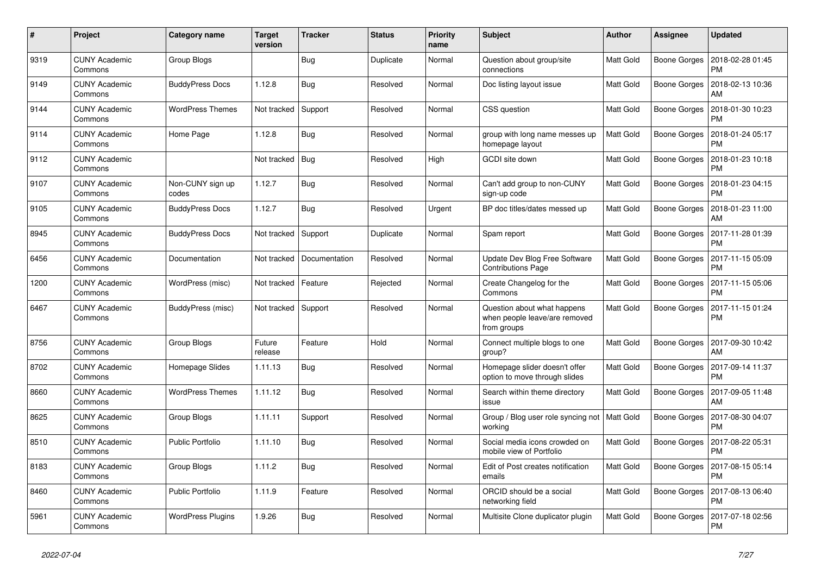| #    | Project                         | Category name             | <b>Target</b><br>version | <b>Tracker</b> | <b>Status</b> | <b>Priority</b><br>name | <b>Subject</b>                                                              | <b>Author</b>    | Assignee            | <b>Updated</b>                |
|------|---------------------------------|---------------------------|--------------------------|----------------|---------------|-------------------------|-----------------------------------------------------------------------------|------------------|---------------------|-------------------------------|
| 9319 | <b>CUNY Academic</b><br>Commons | Group Blogs               |                          | Bug            | Duplicate     | Normal                  | Question about group/site<br>connections                                    | <b>Matt Gold</b> | <b>Boone Gorges</b> | 2018-02-28 01:45<br><b>PM</b> |
| 9149 | <b>CUNY Academic</b><br>Commons | <b>BuddyPress Docs</b>    | 1.12.8                   | Bug            | Resolved      | Normal                  | Doc listing layout issue                                                    | <b>Matt Gold</b> | <b>Boone Gorges</b> | 2018-02-13 10:36<br>AM        |
| 9144 | <b>CUNY Academic</b><br>Commons | WordPress Themes          | Not tracked              | Support        | Resolved      | Normal                  | CSS question                                                                | Matt Gold        | Boone Gorges        | 2018-01-30 10:23<br><b>PM</b> |
| 9114 | <b>CUNY Academic</b><br>Commons | Home Page                 | 1.12.8                   | <b>Bug</b>     | Resolved      | Normal                  | group with long name messes up<br>homepage layout                           | <b>Matt Gold</b> | Boone Gorges        | 2018-01-24 05:17<br><b>PM</b> |
| 9112 | <b>CUNY Academic</b><br>Commons |                           | Not tracked              | Bug            | Resolved      | High                    | <b>GCDI</b> site down                                                       | Matt Gold        | <b>Boone Gorges</b> | 2018-01-23 10:18<br><b>PM</b> |
| 9107 | <b>CUNY Academic</b><br>Commons | Non-CUNY sign up<br>codes | 1.12.7                   | Bug            | Resolved      | Normal                  | Can't add group to non-CUNY<br>sign-up code                                 | <b>Matt Gold</b> | <b>Boone Gorges</b> | 2018-01-23 04:15<br><b>PM</b> |
| 9105 | <b>CUNY Academic</b><br>Commons | <b>BuddyPress Docs</b>    | 1.12.7                   | Bug            | Resolved      | Urgent                  | BP doc titles/dates messed up                                               | Matt Gold        | Boone Gorges        | 2018-01-23 11:00<br>AM        |
| 8945 | <b>CUNY Academic</b><br>Commons | <b>BuddyPress Docs</b>    | Not tracked              | Support        | Duplicate     | Normal                  | Spam report                                                                 | Matt Gold        | <b>Boone Gorges</b> | 2017-11-28 01:39<br><b>PM</b> |
| 6456 | <b>CUNY Academic</b><br>Commons | Documentation             | Not tracked              | Documentation  | Resolved      | Normal                  | Update Dev Blog Free Software<br><b>Contributions Page</b>                  | <b>Matt Gold</b> | <b>Boone Gorges</b> | 2017-11-15 05:09<br><b>PM</b> |
| 1200 | <b>CUNY Academic</b><br>Commons | WordPress (misc)          | Not tracked              | Feature        | Rejected      | Normal                  | Create Changelog for the<br>Commons                                         | <b>Matt Gold</b> | Boone Gorges        | 2017-11-15 05:06<br><b>PM</b> |
| 6467 | <b>CUNY Academic</b><br>Commons | BuddyPress (misc)         | Not tracked              | Support        | Resolved      | Normal                  | Question about what happens<br>when people leave/are removed<br>from groups | Matt Gold        | <b>Boone Gorges</b> | 2017-11-15 01:24<br><b>PM</b> |
| 8756 | <b>CUNY Academic</b><br>Commons | Group Blogs               | Future<br>release        | Feature        | Hold          | Normal                  | Connect multiple blogs to one<br>group?                                     | Matt Gold        | <b>Boone Gorges</b> | 2017-09-30 10:42<br>AM        |
| 8702 | <b>CUNY Academic</b><br>Commons | Homepage Slides           | 1.11.13                  | <b>Bug</b>     | Resolved      | Normal                  | Homepage slider doesn't offer<br>option to move through slides              | Matt Gold        | <b>Boone Gorges</b> | 2017-09-14 11:37<br><b>PM</b> |
| 8660 | <b>CUNY Academic</b><br>Commons | <b>WordPress Themes</b>   | 1.11.12                  | Bug            | Resolved      | Normal                  | Search within theme directory<br>issue                                      | Matt Gold        | <b>Boone Gorges</b> | 2017-09-05 11:48<br>AM        |
| 8625 | <b>CUNY Academic</b><br>Commons | Group Blogs               | 1.11.11                  | Support        | Resolved      | Normal                  | Group / Blog user role syncing not<br>working                               | <b>Matt Gold</b> | <b>Boone Gorges</b> | 2017-08-30 04:07<br>PM        |
| 8510 | <b>CUNY Academic</b><br>Commons | <b>Public Portfolio</b>   | 1.11.10                  | <b>Bug</b>     | Resolved      | Normal                  | Social media icons crowded on<br>mobile view of Portfolio                   | Matt Gold        | <b>Boone Gorges</b> | 2017-08-22 05:31<br><b>PM</b> |
| 8183 | <b>CUNY Academic</b><br>Commons | Group Blogs               | 1.11.2                   | Bug            | Resolved      | Normal                  | Edit of Post creates notification<br>emails                                 | <b>Matt Gold</b> | <b>Boone Gorges</b> | 2017-08-15 05:14<br><b>PM</b> |
| 8460 | <b>CUNY Academic</b><br>Commons | <b>Public Portfolio</b>   | 1.11.9                   | Feature        | Resolved      | Normal                  | ORCID should be a social<br>networking field                                | <b>Matt Gold</b> | <b>Boone Gorges</b> | 2017-08-13 06:40<br><b>PM</b> |
| 5961 | <b>CUNY Academic</b><br>Commons | <b>WordPress Plugins</b>  | 1.9.26                   | Bug            | Resolved      | Normal                  | Multisite Clone duplicator plugin                                           | Matt Gold        | <b>Boone Gorges</b> | 2017-07-18 02:56<br><b>PM</b> |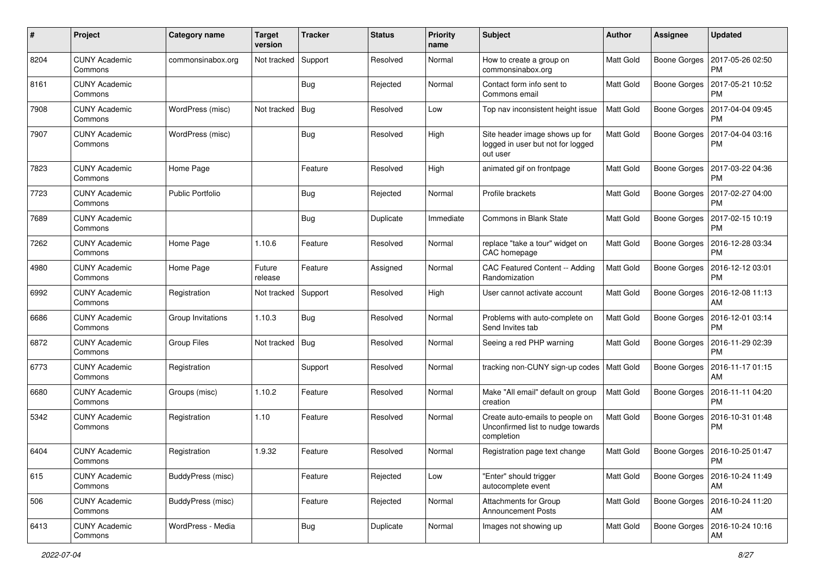| #    | Project                         | <b>Category name</b>    | <b>Target</b><br>version | <b>Tracker</b> | <b>Status</b> | <b>Priority</b><br>name | <b>Subject</b>                                                                     | <b>Author</b>    | <b>Assignee</b>     | <b>Updated</b>                |
|------|---------------------------------|-------------------------|--------------------------|----------------|---------------|-------------------------|------------------------------------------------------------------------------------|------------------|---------------------|-------------------------------|
| 8204 | <b>CUNY Academic</b><br>Commons | commonsinabox.org       | Not tracked              | Support        | Resolved      | Normal                  | How to create a group on<br>commonsinabox.org                                      | <b>Matt Gold</b> | <b>Boone Gorges</b> | 2017-05-26 02:50<br><b>PM</b> |
| 8161 | <b>CUNY Academic</b><br>Commons |                         |                          | Bug            | Rejected      | Normal                  | Contact form info sent to<br>Commons email                                         | <b>Matt Gold</b> | <b>Boone Gorges</b> | 2017-05-21 10:52<br><b>PM</b> |
| 7908 | <b>CUNY Academic</b><br>Commons | WordPress (misc)        | Not tracked              | Bug            | Resolved      | Low                     | Top nav inconsistent height issue                                                  | <b>Matt Gold</b> | <b>Boone Gorges</b> | 2017-04-04 09:45<br><b>PM</b> |
| 7907 | <b>CUNY Academic</b><br>Commons | WordPress (misc)        |                          | Bug            | Resolved      | High                    | Site header image shows up for<br>logged in user but not for logged<br>out user    | <b>Matt Gold</b> | <b>Boone Gorges</b> | 2017-04-04 03:16<br>PM        |
| 7823 | <b>CUNY Academic</b><br>Commons | Home Page               |                          | Feature        | Resolved      | High                    | animated gif on frontpage                                                          | <b>Matt Gold</b> | <b>Boone Gorges</b> | 2017-03-22 04:36<br>PM        |
| 7723 | <b>CUNY Academic</b><br>Commons | <b>Public Portfolio</b> |                          | Bug            | Rejected      | Normal                  | Profile brackets                                                                   | <b>Matt Gold</b> | <b>Boone Gorges</b> | 2017-02-27 04:00<br><b>PM</b> |
| 7689 | <b>CUNY Academic</b><br>Commons |                         |                          | Bug            | Duplicate     | Immediate               | <b>Commons in Blank State</b>                                                      | Matt Gold        | <b>Boone Gorges</b> | 2017-02-15 10:19<br><b>PM</b> |
| 7262 | <b>CUNY Academic</b><br>Commons | Home Page               | 1.10.6                   | Feature        | Resolved      | Normal                  | replace "take a tour" widget on<br>CAC homepage                                    | Matt Gold        | Boone Gorges        | 2016-12-28 03:34<br><b>PM</b> |
| 4980 | <b>CUNY Academic</b><br>Commons | Home Page               | Future<br>release        | Feature        | Assigned      | Normal                  | CAC Featured Content -- Adding<br>Randomization                                    | <b>Matt Gold</b> | <b>Boone Gorges</b> | 2016-12-12 03:01<br><b>PM</b> |
| 6992 | <b>CUNY Academic</b><br>Commons | Registration            | Not tracked              | Support        | Resolved      | High                    | User cannot activate account                                                       | <b>Matt Gold</b> | <b>Boone Gorges</b> | 2016-12-08 11:13<br>AM        |
| 6686 | <b>CUNY Academic</b><br>Commons | Group Invitations       | 1.10.3                   | Bug            | Resolved      | Normal                  | Problems with auto-complete on<br>Send Invites tab                                 | Matt Gold        | <b>Boone Gorges</b> | 2016-12-01 03:14<br><b>PM</b> |
| 6872 | <b>CUNY Academic</b><br>Commons | <b>Group Files</b>      | Not tracked              | Bug            | Resolved      | Normal                  | Seeing a red PHP warning                                                           | <b>Matt Gold</b> | <b>Boone Gorges</b> | 2016-11-29 02:39<br><b>PM</b> |
| 6773 | <b>CUNY Academic</b><br>Commons | Registration            |                          | Support        | Resolved      | Normal                  | tracking non-CUNY sign-up codes   Matt Gold                                        |                  | Boone Gorges        | 2016-11-17 01:15<br>AM        |
| 6680 | <b>CUNY Academic</b><br>Commons | Groups (misc)           | 1.10.2                   | Feature        | Resolved      | Normal                  | Make "All email" default on group<br>creation                                      | <b>Matt Gold</b> | Boone Gorges        | 2016-11-11 04:20<br><b>PM</b> |
| 5342 | <b>CUNY Academic</b><br>Commons | Registration            | 1.10                     | Feature        | Resolved      | Normal                  | Create auto-emails to people on<br>Unconfirmed list to nudge towards<br>completion | Matt Gold        | <b>Boone Gorges</b> | 2016-10-31 01:48<br><b>PM</b> |
| 6404 | <b>CUNY Academic</b><br>Commons | Registration            | 1.9.32                   | Feature        | Resolved      | Normal                  | Registration page text change                                                      | Matt Gold        | Boone Gorges        | 2016-10-25 01:47<br>PM        |
| 615  | <b>CUNY Academic</b><br>Commons | BuddyPress (misc)       |                          | Feature        | Rejected      | Low                     | "Enter" should trigger<br>autocomplete event                                       | <b>Matt Gold</b> | <b>Boone Gorges</b> | 2016-10-24 11:49<br>AM        |
| 506  | <b>CUNY Academic</b><br>Commons | BuddyPress (misc)       |                          | Feature        | Rejected      | Normal                  | <b>Attachments for Group</b><br><b>Announcement Posts</b>                          | <b>Matt Gold</b> | Boone Gorges        | 2016-10-24 11:20<br>AM        |
| 6413 | <b>CUNY Academic</b><br>Commons | WordPress - Media       |                          | <b>Bug</b>     | Duplicate     | Normal                  | Images not showing up                                                              | Matt Gold        | <b>Boone Gorges</b> | 2016-10-24 10:16<br>AM        |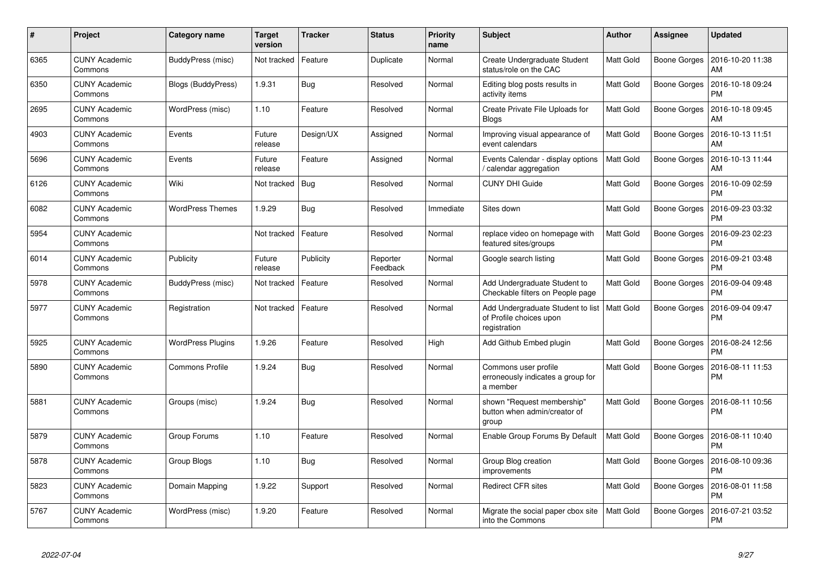| #    | Project                         | Category name            | Target<br>version | <b>Tracker</b> | <b>Status</b>        | <b>Priority</b><br>name | <b>Subject</b>                                                               | <b>Author</b>    | Assignee            | <b>Updated</b>                |
|------|---------------------------------|--------------------------|-------------------|----------------|----------------------|-------------------------|------------------------------------------------------------------------------|------------------|---------------------|-------------------------------|
| 6365 | <b>CUNY Academic</b><br>Commons | BuddyPress (misc)        | Not tracked       | Feature        | Duplicate            | Normal                  | Create Undergraduate Student<br>status/role on the CAC                       | <b>Matt Gold</b> | Boone Gorges        | 2016-10-20 11:38<br>AM        |
| 6350 | <b>CUNY Academic</b><br>Commons | Blogs (BuddyPress)       | 1.9.31            | <b>Bug</b>     | Resolved             | Normal                  | Editing blog posts results in<br>activity items                              | <b>Matt Gold</b> | Boone Gorges        | 2016-10-18 09:24<br><b>PM</b> |
| 2695 | <b>CUNY Academic</b><br>Commons | WordPress (misc)         | 1.10              | Feature        | Resolved             | Normal                  | Create Private File Uploads for<br><b>Blogs</b>                              | <b>Matt Gold</b> | <b>Boone Gorges</b> | 2016-10-18 09:45<br>AM        |
| 4903 | <b>CUNY Academic</b><br>Commons | Events                   | Future<br>release | Design/UX      | Assigned             | Normal                  | Improving visual appearance of<br>event calendars                            | <b>Matt Gold</b> | Boone Gorges        | 2016-10-13 11:51<br>AM        |
| 5696 | <b>CUNY Academic</b><br>Commons | Events                   | Future<br>release | Feature        | Assigned             | Normal                  | Events Calendar - display options<br>/ calendar aggregation                  | <b>Matt Gold</b> | Boone Gorges        | 2016-10-13 11:44<br>AM        |
| 6126 | <b>CUNY Academic</b><br>Commons | Wiki                     | Not tracked       | Bug            | Resolved             | Normal                  | <b>CUNY DHI Guide</b>                                                        | <b>Matt Gold</b> | Boone Gorges        | 2016-10-09 02:59<br><b>PM</b> |
| 6082 | <b>CUNY Academic</b><br>Commons | <b>WordPress Themes</b>  | 1.9.29            | <b>Bug</b>     | Resolved             | Immediate               | Sites down                                                                   | Matt Gold        | Boone Gorges        | 2016-09-23 03:32<br><b>PM</b> |
| 5954 | <b>CUNY Academic</b><br>Commons |                          | Not tracked       | Feature        | Resolved             | Normal                  | replace video on homepage with<br>featured sites/groups                      | <b>Matt Gold</b> | <b>Boone Gorges</b> | 2016-09-23 02:23<br><b>PM</b> |
| 6014 | <b>CUNY Academic</b><br>Commons | Publicity                | Future<br>release | Publicity      | Reporter<br>Feedback | Normal                  | Google search listing                                                        | Matt Gold        | Boone Gorges        | 2016-09-21 03:48<br><b>PM</b> |
| 5978 | <b>CUNY Academic</b><br>Commons | BuddyPress (misc)        | Not tracked       | Feature        | Resolved             | Normal                  | Add Undergraduate Student to<br>Checkable filters on People page             | Matt Gold        | <b>Boone Gorges</b> | 2016-09-04 09:48<br><b>PM</b> |
| 5977 | <b>CUNY Academic</b><br>Commons | Registration             | Not tracked       | Feature        | Resolved             | Normal                  | Add Undergraduate Student to list<br>of Profile choices upon<br>registration | Matt Gold        | Boone Gorges        | 2016-09-04 09:47<br><b>PM</b> |
| 5925 | <b>CUNY Academic</b><br>Commons | <b>WordPress Plugins</b> | 1.9.26            | Feature        | Resolved             | High                    | Add Github Embed plugin                                                      | <b>Matt Gold</b> | Boone Gorges        | 2016-08-24 12:56<br><b>PM</b> |
| 5890 | <b>CUNY Academic</b><br>Commons | <b>Commons Profile</b>   | 1.9.24            | <b>Bug</b>     | Resolved             | Normal                  | Commons user profile<br>erroneously indicates a group for<br>a member        | <b>Matt Gold</b> | Boone Gorges        | 2016-08-11 11:53<br>PM        |
| 5881 | <b>CUNY Academic</b><br>Commons | Groups (misc)            | 1.9.24            | Bug            | Resolved             | Normal                  | shown "Request membership"<br>button when admin/creator of<br>group          | <b>Matt Gold</b> | Boone Gorges        | 2016-08-11 10:56<br><b>PM</b> |
| 5879 | <b>CUNY Academic</b><br>Commons | Group Forums             | 1.10              | Feature        | Resolved             | Normal                  | Enable Group Forums By Default                                               | <b>Matt Gold</b> | Boone Gorges        | 2016-08-11 10:40<br><b>PM</b> |
| 5878 | <b>CUNY Academic</b><br>Commons | Group Blogs              | 1.10              | <b>Bug</b>     | Resolved             | Normal                  | Group Blog creation<br>improvements                                          | Matt Gold        | Boone Gorges        | 2016-08-10 09:36<br><b>PM</b> |
| 5823 | <b>CUNY Academic</b><br>Commons | Domain Mapping           | 1.9.22            | Support        | Resolved             | Normal                  | <b>Redirect CFR sites</b>                                                    | <b>Matt Gold</b> | Boone Gorges        | 2016-08-01 11:58<br><b>PM</b> |
| 5767 | <b>CUNY Academic</b><br>Commons | WordPress (misc)         | 1.9.20            | Feature        | Resolved             | Normal                  | Migrate the social paper cbox site<br>into the Commons                       | Matt Gold        | <b>Boone Gorges</b> | 2016-07-21 03:52<br><b>PM</b> |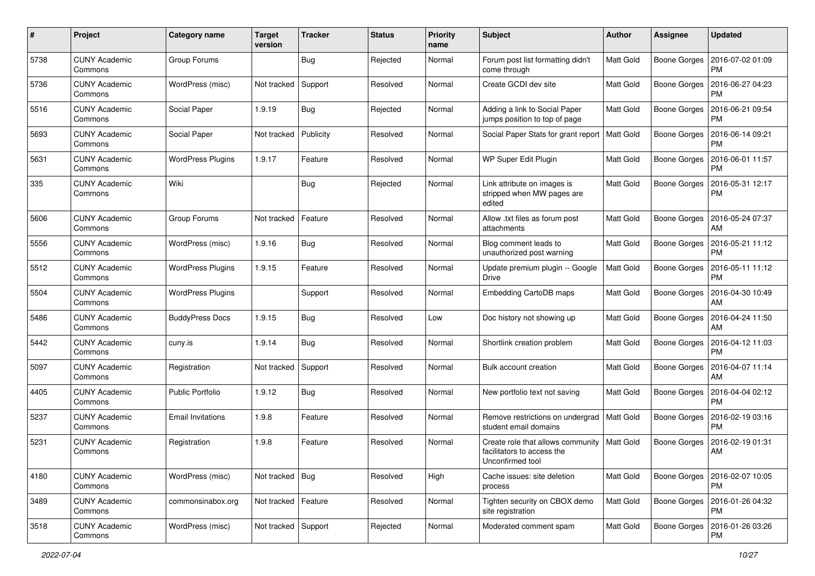| #    | Project                         | <b>Category name</b>     | <b>Target</b><br>version | <b>Tracker</b> | <b>Status</b> | <b>Priority</b><br>name | Subject                                                                             | <b>Author</b>    | <b>Assignee</b>     | <b>Updated</b>                |
|------|---------------------------------|--------------------------|--------------------------|----------------|---------------|-------------------------|-------------------------------------------------------------------------------------|------------------|---------------------|-------------------------------|
| 5738 | <b>CUNY Academic</b><br>Commons | Group Forums             |                          | <b>Bug</b>     | Rejected      | Normal                  | Forum post list formatting didn't<br>come through                                   | Matt Gold        | <b>Boone Gorges</b> | 2016-07-02 01:09<br><b>PM</b> |
| 5736 | <b>CUNY Academic</b><br>Commons | WordPress (misc)         | Not tracked              | Support        | Resolved      | Normal                  | Create GCDI dev site                                                                | Matt Gold        | <b>Boone Gorges</b> | 2016-06-27 04:23<br><b>PM</b> |
| 5516 | CUNY Academic<br>Commons        | Social Paper             | 1.9.19                   | <b>Bug</b>     | Rejected      | Normal                  | Adding a link to Social Paper<br>jumps position to top of page                      | <b>Matt Gold</b> | <b>Boone Gorges</b> | 2016-06-21 09:54<br><b>PM</b> |
| 5693 | <b>CUNY Academic</b><br>Commons | Social Paper             | Not tracked              | Publicity      | Resolved      | Normal                  | Social Paper Stats for grant report   Matt Gold                                     |                  | <b>Boone Gorges</b> | 2016-06-14 09:21<br><b>PM</b> |
| 5631 | <b>CUNY Academic</b><br>Commons | <b>WordPress Plugins</b> | 1.9.17                   | Feature        | Resolved      | Normal                  | WP Super Edit Plugin                                                                | <b>Matt Gold</b> | <b>Boone Gorges</b> | 2016-06-01 11:57<br><b>PM</b> |
| 335  | <b>CUNY Academic</b><br>Commons | Wiki                     |                          | <b>Bug</b>     | Rejected      | Normal                  | Link attribute on images is<br>stripped when MW pages are<br>edited                 | Matt Gold        | <b>Boone Gorges</b> | 2016-05-31 12:17<br><b>PM</b> |
| 5606 | <b>CUNY Academic</b><br>Commons | Group Forums             | Not tracked              | Feature        | Resolved      | Normal                  | Allow .txt files as forum post<br>attachments                                       | <b>Matt Gold</b> | <b>Boone Gorges</b> | 2016-05-24 07:37<br>AM        |
| 5556 | <b>CUNY Academic</b><br>Commons | WordPress (misc)         | 1.9.16                   | Bug            | Resolved      | Normal                  | Blog comment leads to<br>unauthorized post warning                                  | Matt Gold        | <b>Boone Gorges</b> | 2016-05-21 11:12<br><b>PM</b> |
| 5512 | <b>CUNY Academic</b><br>Commons | <b>WordPress Plugins</b> | 1.9.15                   | Feature        | Resolved      | Normal                  | Update premium plugin -- Google<br><b>Drive</b>                                     | Matt Gold        | <b>Boone Gorges</b> | 2016-05-11 11:12<br>PM        |
| 5504 | <b>CUNY Academic</b><br>Commons | <b>WordPress Plugins</b> |                          | Support        | Resolved      | Normal                  | Embedding CartoDB maps                                                              | <b>Matt Gold</b> | Boone Gorges        | 2016-04-30 10:49<br>AM        |
| 5486 | <b>CUNY Academic</b><br>Commons | <b>BuddyPress Docs</b>   | 1.9.15                   | <b>Bug</b>     | Resolved      | Low                     | Doc history not showing up                                                          | Matt Gold        | <b>Boone Gorges</b> | 2016-04-24 11:50<br>AM        |
| 5442 | <b>CUNY Academic</b><br>Commons | cuny.is                  | 1.9.14                   | Bug            | Resolved      | Normal                  | Shortlink creation problem                                                          | <b>Matt Gold</b> | <b>Boone Gorges</b> | 2016-04-12 11:03<br><b>PM</b> |
| 5097 | <b>CUNY Academic</b><br>Commons | Registration             | Not tracked              | Support        | Resolved      | Normal                  | Bulk account creation                                                               | <b>Matt Gold</b> | <b>Boone Gorges</b> | 2016-04-07 11:14<br>AM        |
| 4405 | <b>CUNY Academic</b><br>Commons | <b>Public Portfolio</b>  | 1.9.12                   | Bug            | Resolved      | Normal                  | New portfolio text not saving                                                       | <b>Matt Gold</b> | <b>Boone Gorges</b> | 2016-04-04 02:12<br><b>PM</b> |
| 5237 | <b>CUNY Academic</b><br>Commons | Email Invitations        | 1.9.8                    | Feature        | Resolved      | Normal                  | Remove restrictions on undergrad   Matt Gold<br>student email domains               |                  | Boone Gorges        | 2016-02-19 03:16<br><b>PM</b> |
| 5231 | <b>CUNY Academic</b><br>Commons | Registration             | 1.9.8                    | Feature        | Resolved      | Normal                  | Create role that allows community<br>facilitators to access the<br>Unconfirmed tool | Matt Gold        | <b>Boone Gorges</b> | 2016-02-19 01:31<br>AM        |
| 4180 | <b>CUNY Academic</b><br>Commons | WordPress (misc)         | Not tracked   Bug        |                | Resolved      | High                    | Cache issues: site deletion<br>process                                              | <b>Matt Gold</b> | <b>Boone Gorges</b> | 2016-02-07 10:05<br><b>PM</b> |
| 3489 | <b>CUNY Academic</b><br>Commons | commonsinabox.org        | Not tracked   Feature    |                | Resolved      | Normal                  | Tighten security on CBOX demo<br>site registration                                  | <b>Matt Gold</b> | <b>Boone Gorges</b> | 2016-01-26 04:32<br><b>PM</b> |
| 3518 | <b>CUNY Academic</b><br>Commons | WordPress (misc)         | Not tracked Support      |                | Rejected      | Normal                  | Moderated comment spam                                                              | Matt Gold        | <b>Boone Gorges</b> | 2016-01-26 03:26<br>PM        |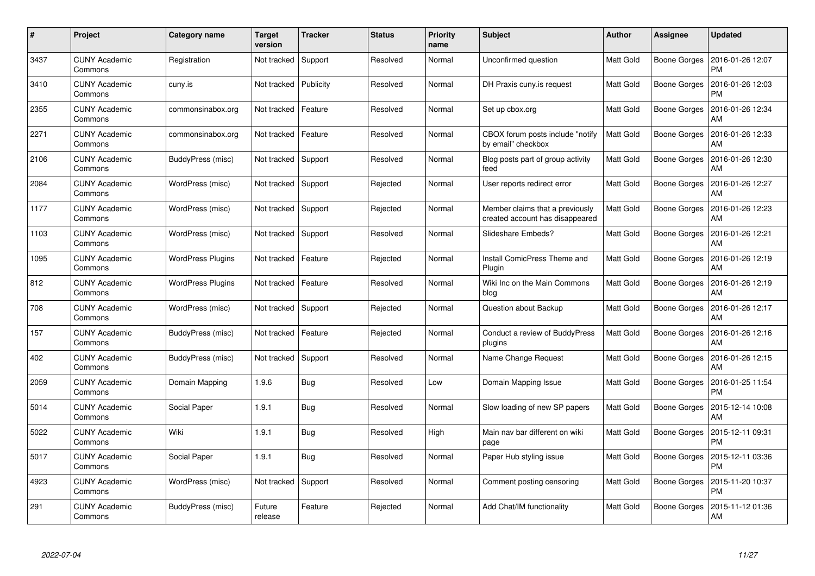| #    | Project                         | Category name            | Target<br>version | <b>Tracker</b> | <b>Status</b> | <b>Priority</b><br>name | <b>Subject</b>                                                     | <b>Author</b>    | Assignee            | <b>Updated</b>                |
|------|---------------------------------|--------------------------|-------------------|----------------|---------------|-------------------------|--------------------------------------------------------------------|------------------|---------------------|-------------------------------|
| 3437 | <b>CUNY Academic</b><br>Commons | Registration             | Not tracked       | Support        | Resolved      | Normal                  | Unconfirmed question                                               | <b>Matt Gold</b> | <b>Boone Gorges</b> | 2016-01-26 12:07<br><b>PM</b> |
| 3410 | <b>CUNY Academic</b><br>Commons | cuny.is                  | Not tracked       | Publicity      | Resolved      | Normal                  | DH Praxis cuny is request                                          | <b>Matt Gold</b> | <b>Boone Gorges</b> | 2016-01-26 12:03<br><b>PM</b> |
| 2355 | <b>CUNY Academic</b><br>Commons | commonsinabox.org        | Not tracked       | Feature        | Resolved      | Normal                  | Set up cbox.org                                                    | <b>Matt Gold</b> | <b>Boone Gorges</b> | 2016-01-26 12:34<br>AM        |
| 2271 | <b>CUNY Academic</b><br>Commons | commonsinabox.org        | Not tracked       | Feature        | Resolved      | Normal                  | CBOX forum posts include "notify<br>by email" checkbox             | Matt Gold        | Boone Gorges        | 2016-01-26 12:33<br>AM        |
| 2106 | <b>CUNY Academic</b><br>Commons | BuddyPress (misc)        | Not tracked       | Support        | Resolved      | Normal                  | Blog posts part of group activity<br>feed                          | Matt Gold        | <b>Boone Gorges</b> | 2016-01-26 12:30<br>AM        |
| 2084 | <b>CUNY Academic</b><br>Commons | WordPress (misc)         | Not tracked       | Support        | Rejected      | Normal                  | User reports redirect error                                        | Matt Gold        | <b>Boone Gorges</b> | 2016-01-26 12:27<br>AM        |
| 1177 | <b>CUNY Academic</b><br>Commons | WordPress (misc)         | Not tracked       | Support        | Rejected      | Normal                  | Member claims that a previously<br>created account has disappeared | <b>Matt Gold</b> | <b>Boone Gorges</b> | 2016-01-26 12:23<br>AM        |
| 1103 | <b>CUNY Academic</b><br>Commons | WordPress (misc)         | Not tracked       | Support        | Resolved      | Normal                  | Slideshare Embeds?                                                 | Matt Gold        | Boone Gorges        | 2016-01-26 12:21<br>AM        |
| 1095 | <b>CUNY Academic</b><br>Commons | <b>WordPress Plugins</b> | Not tracked       | Feature        | Rejected      | Normal                  | Install ComicPress Theme and<br>Plugin                             | <b>Matt Gold</b> | <b>Boone Gorges</b> | 2016-01-26 12:19<br>AM        |
| 812  | <b>CUNY Academic</b><br>Commons | WordPress Plugins        | Not tracked       | Feature        | Resolved      | Normal                  | Wiki Inc on the Main Commons<br>blog                               | <b>Matt Gold</b> | <b>Boone Gorges</b> | 2016-01-26 12:19<br>AM        |
| 708  | <b>CUNY Academic</b><br>Commons | WordPress (misc)         | Not tracked       | Support        | Rejected      | Normal                  | Question about Backup                                              | Matt Gold        | <b>Boone Gorges</b> | 2016-01-26 12:17<br>AM        |
| 157  | <b>CUNY Academic</b><br>Commons | BuddyPress (misc)        | Not tracked       | Feature        | Rejected      | Normal                  | Conduct a review of BuddyPress<br>plugins                          | Matt Gold        | <b>Boone Gorges</b> | 2016-01-26 12:16<br>AM        |
| 402  | <b>CUNY Academic</b><br>Commons | BuddyPress (misc)        | Not tracked       | Support        | Resolved      | Normal                  | Name Change Request                                                | <b>Matt Gold</b> | <b>Boone Gorges</b> | 2016-01-26 12:15<br>AM        |
| 2059 | <b>CUNY Academic</b><br>Commons | Domain Mapping           | 1.9.6             | Bug            | Resolved      | Low                     | Domain Mapping Issue                                               | Matt Gold        | <b>Boone Gorges</b> | 2016-01-25 11:54<br><b>PM</b> |
| 5014 | <b>CUNY Academic</b><br>Commons | Social Paper             | 1.9.1             | <b>Bug</b>     | Resolved      | Normal                  | Slow loading of new SP papers                                      | Matt Gold        | <b>Boone Gorges</b> | 2015-12-14 10:08<br>AM        |
| 5022 | <b>CUNY Academic</b><br>Commons | Wiki                     | 1.9.1             | Bug            | Resolved      | High                    | Main nav bar different on wiki<br>page                             | Matt Gold        | <b>Boone Gorges</b> | 2015-12-11 09:31<br><b>PM</b> |
| 5017 | <b>CUNY Academic</b><br>Commons | Social Paper             | 1.9.1             | Bug            | Resolved      | Normal                  | Paper Hub styling issue                                            | Matt Gold        | Boone Gorges        | 2015-12-11 03:36<br><b>PM</b> |
| 4923 | <b>CUNY Academic</b><br>Commons | WordPress (misc)         | Not tracked       | Support        | Resolved      | Normal                  | Comment posting censoring                                          | Matt Gold        | <b>Boone Gorges</b> | 2015-11-20 10:37<br><b>PM</b> |
| 291  | CUNY Academic<br>Commons        | BuddyPress (misc)        | Future<br>release | Feature        | Rejected      | Normal                  | Add Chat/IM functionality                                          | Matt Gold        | Boone Gorges        | 2015-11-12 01:36<br>AM        |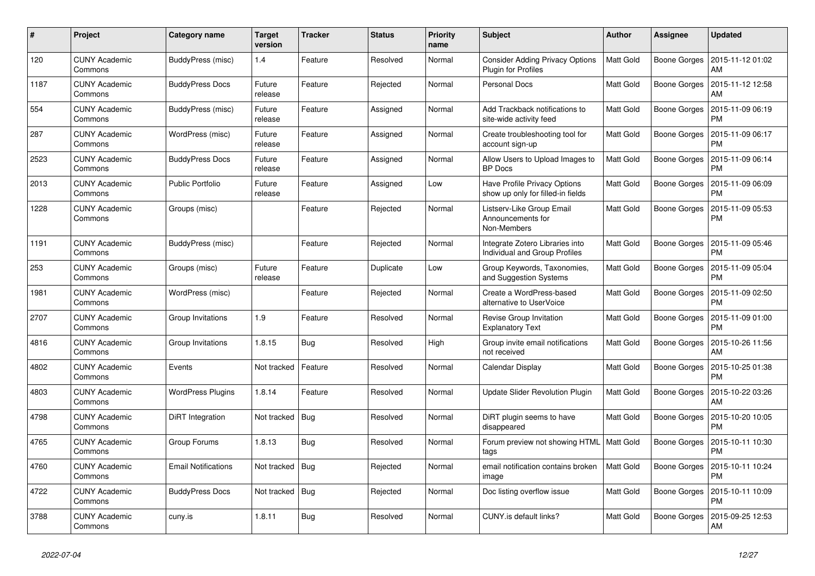| #    | Project                         | Category name              | <b>Target</b><br>version | <b>Tracker</b> | <b>Status</b> | <b>Priority</b><br>name | <b>Subject</b>                                                           | <b>Author</b>    | <b>Assignee</b>     | <b>Updated</b>                |
|------|---------------------------------|----------------------------|--------------------------|----------------|---------------|-------------------------|--------------------------------------------------------------------------|------------------|---------------------|-------------------------------|
| 120  | <b>CUNY Academic</b><br>Commons | BuddyPress (misc)          | 1.4                      | Feature        | Resolved      | Normal                  | <b>Consider Adding Privacy Options</b><br>Plugin for Profiles            | <b>Matt Gold</b> | <b>Boone Gorges</b> | 2015-11-12 01:02<br>AM        |
| 1187 | <b>CUNY Academic</b><br>Commons | <b>BuddyPress Docs</b>     | Future<br>release        | Feature        | Rejected      | Normal                  | <b>Personal Docs</b>                                                     | Matt Gold        | <b>Boone Gorges</b> | 2015-11-12 12:58<br>AM        |
| 554  | <b>CUNY Academic</b><br>Commons | BuddyPress (misc)          | Future<br>release        | Feature        | Assigned      | Normal                  | Add Trackback notifications to<br>site-wide activity feed                | <b>Matt Gold</b> | <b>Boone Gorges</b> | 2015-11-09 06:19<br><b>PM</b> |
| 287  | <b>CUNY Academic</b><br>Commons | WordPress (misc)           | Future<br>release        | Feature        | Assigned      | Normal                  | Create troubleshooting tool for<br>account sign-up                       | Matt Gold        | <b>Boone Gorges</b> | 2015-11-09 06:17<br><b>PM</b> |
| 2523 | <b>CUNY Academic</b><br>Commons | <b>BuddyPress Docs</b>     | Future<br>release        | Feature        | Assigned      | Normal                  | Allow Users to Upload Images to<br><b>BP</b> Docs                        | <b>Matt Gold</b> | <b>Boone Gorges</b> | 2015-11-09 06:14<br><b>PM</b> |
| 2013 | <b>CUNY Academic</b><br>Commons | <b>Public Portfolio</b>    | Future<br>release        | Feature        | Assigned      | Low                     | <b>Have Profile Privacy Options</b><br>show up only for filled-in fields | Matt Gold        | <b>Boone Gorges</b> | 2015-11-09 06:09<br><b>PM</b> |
| 1228 | <b>CUNY Academic</b><br>Commons | Groups (misc)              |                          | Feature        | Rejected      | Normal                  | Listserv-Like Group Email<br>Announcements for<br>Non-Members            | Matt Gold        | <b>Boone Gorges</b> | 2015-11-09 05:53<br><b>PM</b> |
| 1191 | <b>CUNY Academic</b><br>Commons | BuddyPress (misc)          |                          | Feature        | Rejected      | Normal                  | Integrate Zotero Libraries into<br>Individual and Group Profiles         | <b>Matt Gold</b> | <b>Boone Gorges</b> | 2015-11-09 05:46<br><b>PM</b> |
| 253  | <b>CUNY Academic</b><br>Commons | Groups (misc)              | Future<br>release        | Feature        | Duplicate     | Low                     | Group Keywords, Taxonomies,<br>and Suggestion Systems                    | <b>Matt Gold</b> | <b>Boone Gorges</b> | 2015-11-09 05:04<br><b>PM</b> |
| 1981 | <b>CUNY Academic</b><br>Commons | WordPress (misc)           |                          | Feature        | Rejected      | Normal                  | Create a WordPress-based<br>alternative to UserVoice                     | <b>Matt Gold</b> | <b>Boone Gorges</b> | 2015-11-09 02:50<br><b>PM</b> |
| 2707 | <b>CUNY Academic</b><br>Commons | Group Invitations          | 1.9                      | Feature        | Resolved      | Normal                  | Revise Group Invitation<br><b>Explanatory Text</b>                       | Matt Gold        | Boone Gorges        | 2015-11-09 01:00<br><b>PM</b> |
| 4816 | <b>CUNY Academic</b><br>Commons | Group Invitations          | 1.8.15                   | <b>Bug</b>     | Resolved      | High                    | Group invite email notifications<br>not received                         | Matt Gold        | <b>Boone Gorges</b> | 2015-10-26 11:56<br>AM        |
| 4802 | <b>CUNY Academic</b><br>Commons | Events                     | Not tracked              | Feature        | Resolved      | Normal                  | Calendar Display                                                         | <b>Matt Gold</b> | <b>Boone Gorges</b> | 2015-10-25 01:38<br><b>PM</b> |
| 4803 | <b>CUNY Academic</b><br>Commons | <b>WordPress Plugins</b>   | 1.8.14                   | Feature        | Resolved      | Normal                  | Update Slider Revolution Plugin                                          | <b>Matt Gold</b> | Boone Gorges        | 2015-10-22 03:26<br>AM        |
| 4798 | <b>CUNY Academic</b><br>Commons | DiRT Integration           | Not tracked              | Bug            | Resolved      | Normal                  | DiRT plugin seems to have<br>disappeared                                 | <b>Matt Gold</b> | Boone Gorges        | 2015-10-20 10:05<br><b>PM</b> |
| 4765 | <b>CUNY Academic</b><br>Commons | Group Forums               | 1.8.13                   | Bug            | Resolved      | Normal                  | Forum preview not showing HTML<br>tags                                   | <b>Matt Gold</b> | <b>Boone Gorges</b> | 2015-10-11 10:30<br><b>PM</b> |
| 4760 | <b>CUNY Academic</b><br>Commons | <b>Email Notifications</b> | Not tracked              | Bug            | Rejected      | Normal                  | email notification contains broken<br>image                              | <b>Matt Gold</b> | <b>Boone Gorges</b> | 2015-10-11 10:24<br><b>PM</b> |
| 4722 | <b>CUNY Academic</b><br>Commons | <b>BuddyPress Docs</b>     | Not tracked              | Bug            | Rejected      | Normal                  | Doc listing overflow issue                                               | <b>Matt Gold</b> | Boone Gorges        | 2015-10-11 10:09<br><b>PM</b> |
| 3788 | <b>CUNY Academic</b><br>Commons | cuny.is                    | 1.8.11                   | Bug            | Resolved      | Normal                  | CUNY.is default links?                                                   | Matt Gold        | <b>Boone Gorges</b> | 2015-09-25 12:53<br>AM        |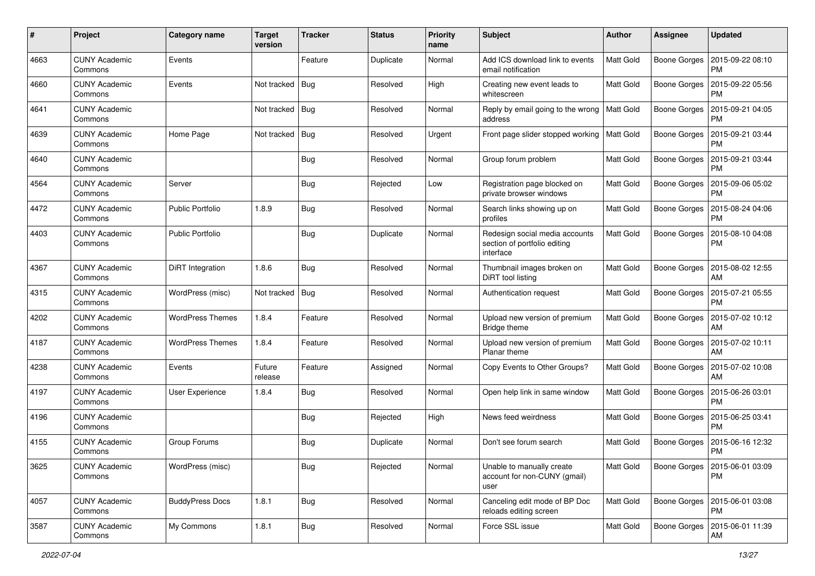| #    | Project                         | Category name           | <b>Target</b><br>version | <b>Tracker</b> | <b>Status</b> | Priority<br>name | Subject                                                                     | Author           | <b>Assignee</b>     | <b>Updated</b>                               |
|------|---------------------------------|-------------------------|--------------------------|----------------|---------------|------------------|-----------------------------------------------------------------------------|------------------|---------------------|----------------------------------------------|
| 4663 | <b>CUNY Academic</b><br>Commons | Events                  |                          | Feature        | Duplicate     | Normal           | Add ICS download link to events<br>email notification                       | Matt Gold        | Boone Gorges        | 2015-09-22 08:10<br><b>PM</b>                |
| 4660 | <b>CUNY Academic</b><br>Commons | Events                  | Not tracked              | <b>Bug</b>     | Resolved      | High             | Creating new event leads to<br>whitescreen                                  | Matt Gold        | Boone Gorges        | 2015-09-22 05:56<br><b>PM</b>                |
| 4641 | <b>CUNY Academic</b><br>Commons |                         | Not tracked              | <b>Bug</b>     | Resolved      | Normal           | Reply by email going to the wrong<br>address                                | Matt Gold        | Boone Gorges        | 2015-09-21 04:05<br><b>PM</b>                |
| 4639 | <b>CUNY Academic</b><br>Commons | Home Page               | Not tracked              | Bug            | Resolved      | Urgent           | Front page slider stopped working                                           | <b>Matt Gold</b> | <b>Boone Gorges</b> | 2015-09-21 03:44<br><b>PM</b>                |
| 4640 | <b>CUNY Academic</b><br>Commons |                         |                          | <b>Bug</b>     | Resolved      | Normal           | Group forum problem                                                         | <b>Matt Gold</b> | Boone Gorges        | 2015-09-21 03:44<br><b>PM</b>                |
| 4564 | <b>CUNY Academic</b><br>Commons | Server                  |                          | <b>Bug</b>     | Rejected      | Low              | Registration page blocked on<br>private browser windows                     | Matt Gold        | Boone Gorges        | 2015-09-06 05:02<br><b>PM</b>                |
| 4472 | <b>CUNY Academic</b><br>Commons | <b>Public Portfolio</b> | 1.8.9                    | Bug            | Resolved      | Normal           | Search links showing up on<br>profiles                                      | Matt Gold        | Boone Gorges        | 2015-08-24 04:06<br>PM                       |
| 4403 | <b>CUNY Academic</b><br>Commons | <b>Public Portfolio</b> |                          | <b>Bug</b>     | Duplicate     | Normal           | Redesign social media accounts<br>section of portfolio editing<br>interface | Matt Gold        | Boone Gorges        | 2015-08-10 04:08<br><b>PM</b>                |
| 4367 | <b>CUNY Academic</b><br>Commons | DiRT Integration        | 1.8.6                    | <b>Bug</b>     | Resolved      | Normal           | Thumbnail images broken on<br>DiRT tool listing                             | <b>Matt Gold</b> | Boone Gorges        | 2015-08-02 12:55<br>AM                       |
| 4315 | <b>CUNY Academic</b><br>Commons | WordPress (misc)        | Not tracked              | <b>Bug</b>     | Resolved      | Normal           | Authentication request                                                      | <b>Matt Gold</b> | Boone Gorges        | 2015-07-21 05:55<br><b>PM</b>                |
| 4202 | <b>CUNY Academic</b><br>Commons | <b>WordPress Themes</b> | 1.8.4                    | Feature        | Resolved      | Normal           | Upload new version of premium<br>Bridge theme                               | Matt Gold        | <b>Boone Gorges</b> | 2015-07-02 10:12<br>AM                       |
| 4187 | <b>CUNY Academic</b><br>Commons | <b>WordPress Themes</b> | 1.8.4                    | Feature        | Resolved      | Normal           | Upload new version of premium<br>Planar theme                               | Matt Gold        | Boone Gorges        | 2015-07-02 10:11<br>AM                       |
| 4238 | <b>CUNY Academic</b><br>Commons | Events                  | Future<br>release        | Feature        | Assigned      | Normal           | Copy Events to Other Groups?                                                | Matt Gold        | Boone Gorges        | 2015-07-02 10:08<br>AM                       |
| 4197 | <b>CUNY Academic</b><br>Commons | User Experience         | 1.8.4                    | <b>Bug</b>     | Resolved      | Normal           | Open help link in same window                                               | <b>Matt Gold</b> |                     | Boone Gorges   2015-06-26 03:01<br><b>PM</b> |
| 4196 | <b>CUNY Academic</b><br>Commons |                         |                          | <b>Bug</b>     | Rejected      | High             | News feed weirdness                                                         | Matt Gold        | Boone Gorges        | 2015-06-25 03:41<br><b>PM</b>                |
| 4155 | <b>CUNY Academic</b><br>Commons | Group Forums            |                          | <b>Bug</b>     | Duplicate     | Normal           | Don't see forum search                                                      | <b>Matt Gold</b> | Boone Gorges        | 2015-06-16 12:32<br><b>PM</b>                |
| 3625 | <b>CUNY Academic</b><br>Commons | WordPress (misc)        |                          | <b>Bug</b>     | Rejected      | Normal           | Unable to manually create<br>account for non-CUNY (gmail)<br>user           | Matt Gold        |                     | Boone Gorges   2015-06-01 03:09<br><b>PM</b> |
| 4057 | <b>CUNY Academic</b><br>Commons | <b>BuddyPress Docs</b>  | 1.8.1                    | <b>Bug</b>     | Resolved      | Normal           | Canceling edit mode of BP Doc<br>reloads editing screen                     | Matt Gold        |                     | Boone Gorges   2015-06-01 03:08<br>PM        |
| 3587 | <b>CUNY Academic</b><br>Commons | My Commons              | 1.8.1                    | <b>Bug</b>     | Resolved      | Normal           | Force SSL issue                                                             | Matt Gold        |                     | Boone Gorges   2015-06-01 11:39<br>AM        |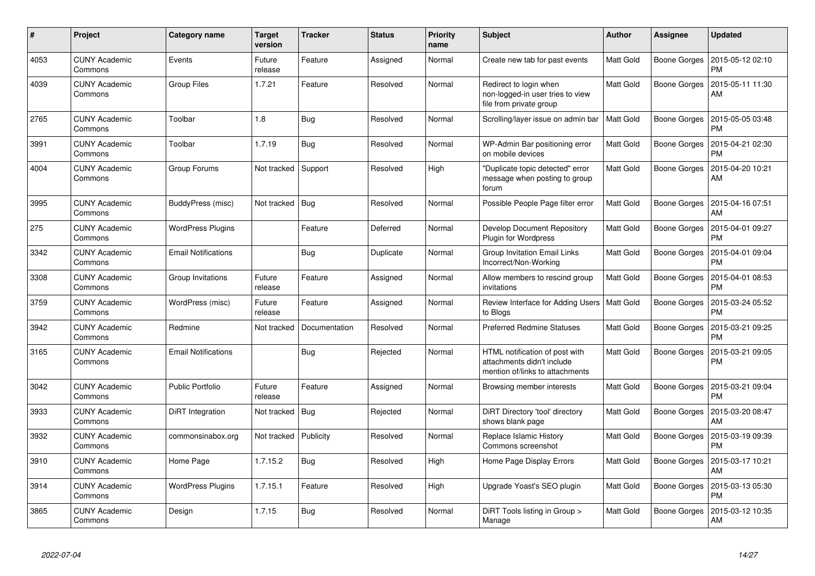| #    | Project                         | Category name              | <b>Target</b><br>version | <b>Tracker</b> | <b>Status</b> | <b>Priority</b><br>name | <b>Subject</b>                                                                                  | <b>Author</b>    | Assignee            | <b>Updated</b>                |
|------|---------------------------------|----------------------------|--------------------------|----------------|---------------|-------------------------|-------------------------------------------------------------------------------------------------|------------------|---------------------|-------------------------------|
| 4053 | <b>CUNY Academic</b><br>Commons | Events                     | Future<br>release        | Feature        | Assigned      | Normal                  | Create new tab for past events                                                                  | Matt Gold        | Boone Gorges        | 2015-05-12 02:10<br><b>PM</b> |
| 4039 | <b>CUNY Academic</b><br>Commons | <b>Group Files</b>         | 1.7.21                   | Feature        | Resolved      | Normal                  | Redirect to login when<br>non-logged-in user tries to view<br>file from private group           | <b>Matt Gold</b> | Boone Gorges        | 2015-05-11 11:30<br>AM        |
| 2765 | <b>CUNY Academic</b><br>Commons | Toolbar                    | 1.8                      | Bug            | Resolved      | Normal                  | Scrolling/layer issue on admin bar                                                              | <b>Matt Gold</b> | Boone Gorges        | 2015-05-05 03:48<br><b>PM</b> |
| 3991 | <b>CUNY Academic</b><br>Commons | Toolbar                    | 1.7.19                   | <b>Bug</b>     | Resolved      | Normal                  | WP-Admin Bar positioning error<br>on mobile devices                                             | Matt Gold        | <b>Boone Gorges</b> | 2015-04-21 02:30<br><b>PM</b> |
| 4004 | <b>CUNY Academic</b><br>Commons | Group Forums               | Not tracked              | Support        | Resolved      | High                    | "Duplicate topic detected" error<br>message when posting to group<br>forum                      | <b>Matt Gold</b> | Boone Gorges        | 2015-04-20 10:21<br>AM        |
| 3995 | <b>CUNY Academic</b><br>Commons | BuddyPress (misc)          | Not tracked              | Bug            | Resolved      | Normal                  | Possible People Page filter error                                                               | Matt Gold        | <b>Boone Gorges</b> | 2015-04-16 07:51<br>AM        |
| 275  | <b>CUNY Academic</b><br>Commons | <b>WordPress Plugins</b>   |                          | Feature        | Deferred      | Normal                  | Develop Document Repository<br><b>Plugin for Wordpress</b>                                      | Matt Gold        | Boone Gorges        | 2015-04-01 09:27<br><b>PM</b> |
| 3342 | <b>CUNY Academic</b><br>Commons | <b>Email Notifications</b> |                          | <b>Bug</b>     | Duplicate     | Normal                  | Group Invitation Email Links<br>Incorrect/Non-Working                                           | Matt Gold        | Boone Gorges        | 2015-04-01 09:04<br><b>PM</b> |
| 3308 | <b>CUNY Academic</b><br>Commons | Group Invitations          | Future<br>release        | Feature        | Assigned      | Normal                  | Allow members to rescind group<br>invitations                                                   | <b>Matt Gold</b> | Boone Gorges        | 2015-04-01 08:53<br><b>PM</b> |
| 3759 | <b>CUNY Academic</b><br>Commons | WordPress (misc)           | Future<br>release        | Feature        | Assigned      | Normal                  | Review Interface for Adding Users<br>to Blogs                                                   | <b>Matt Gold</b> | Boone Gorges        | 2015-03-24 05:52<br><b>PM</b> |
| 3942 | <b>CUNY Academic</b><br>Commons | Redmine                    | Not tracked              | Documentation  | Resolved      | Normal                  | <b>Preferred Redmine Statuses</b>                                                               | <b>Matt Gold</b> | Boone Gorges        | 2015-03-21 09:25<br><b>PM</b> |
| 3165 | <b>CUNY Academic</b><br>Commons | <b>Email Notifications</b> |                          | <b>Bug</b>     | Rejected      | Normal                  | HTML notification of post with<br>attachments didn't include<br>mention of/links to attachments | <b>Matt Gold</b> | Boone Gorges        | 2015-03-21 09:05<br><b>PM</b> |
| 3042 | <b>CUNY Academic</b><br>Commons | <b>Public Portfolio</b>    | Future<br>release        | Feature        | Assigned      | Normal                  | Browsing member interests                                                                       | Matt Gold        | Boone Gorges        | 2015-03-21 09:04<br><b>PM</b> |
| 3933 | <b>CUNY Academic</b><br>Commons | DiRT Integration           | Not tracked              | Bug            | Rejected      | Normal                  | DiRT Directory 'tool' directory<br>shows blank page                                             | Matt Gold        | Boone Gorges        | 2015-03-20 08:47<br>AM        |
| 3932 | <b>CUNY Academic</b><br>Commons | commonsinabox.org          | Not tracked              | Publicity      | Resolved      | Normal                  | Replace Islamic History<br>Commons screenshot                                                   | <b>Matt Gold</b> | Boone Gorges        | 2015-03-19 09:39<br><b>PM</b> |
| 3910 | <b>CUNY Academic</b><br>Commons | Home Page                  | 1.7.15.2                 | <b>Bug</b>     | Resolved      | High                    | Home Page Display Errors                                                                        | Matt Gold        | Boone Gorges        | 2015-03-17 10:21<br>AM        |
| 3914 | <b>CUNY Academic</b><br>Commons | <b>WordPress Plugins</b>   | 1.7.15.1                 | Feature        | Resolved      | High                    | Upgrade Yoast's SEO plugin                                                                      | Matt Gold        | Boone Gorges        | 2015-03-13 05:30<br><b>PM</b> |
| 3865 | <b>CUNY Academic</b><br>Commons | Design                     | 1.7.15                   | <b>Bug</b>     | Resolved      | Normal                  | DiRT Tools listing in Group ><br>Manage                                                         | Matt Gold        | Boone Gorges        | 2015-03-12 10:35<br>AM        |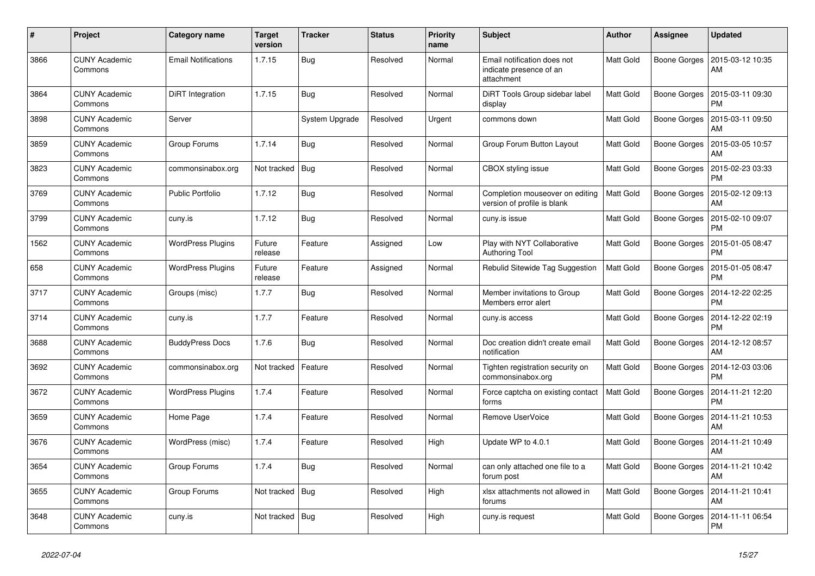| $\pmb{\#}$ | Project                         | <b>Category name</b>       | <b>Target</b><br>version | <b>Tracker</b> | <b>Status</b> | <b>Priority</b><br>name | <b>Subject</b>                                                       | <b>Author</b>    | Assignee            | <b>Updated</b>                |
|------------|---------------------------------|----------------------------|--------------------------|----------------|---------------|-------------------------|----------------------------------------------------------------------|------------------|---------------------|-------------------------------|
| 3866       | <b>CUNY Academic</b><br>Commons | <b>Email Notifications</b> | 1.7.15                   | <b>Bug</b>     | Resolved      | Normal                  | Email notification does not<br>indicate presence of an<br>attachment | Matt Gold        | Boone Gorges        | 2015-03-12 10:35<br>AM        |
| 3864       | <b>CUNY Academic</b><br>Commons | DiRT Integration           | 1.7.15                   | Bug            | Resolved      | Normal                  | DiRT Tools Group sidebar label<br>display                            | <b>Matt Gold</b> | Boone Gorges        | 2015-03-11 09:30<br><b>PM</b> |
| 3898       | <b>CUNY Academic</b><br>Commons | Server                     |                          | System Upgrade | Resolved      | Urgent                  | commons down                                                         | Matt Gold        | Boone Gorges        | 2015-03-11 09:50<br>AM        |
| 3859       | <b>CUNY Academic</b><br>Commons | Group Forums               | 1.7.14                   | <b>Bug</b>     | Resolved      | Normal                  | Group Forum Button Layout                                            | Matt Gold        | Boone Gorges        | 2015-03-05 10:57<br>AM        |
| 3823       | <b>CUNY Academic</b><br>Commons | commonsinabox.org          | Not tracked              | Bug            | Resolved      | Normal                  | CBOX styling issue                                                   | Matt Gold        | Boone Gorges        | 2015-02-23 03:33<br><b>PM</b> |
| 3769       | <b>CUNY Academic</b><br>Commons | <b>Public Portfolio</b>    | 1.7.12                   | <b>Bug</b>     | Resolved      | Normal                  | Completion mouseover on editing<br>version of profile is blank       | <b>Matt Gold</b> | Boone Gorges        | 2015-02-12 09:13<br>AM        |
| 3799       | <b>CUNY Academic</b><br>Commons | cuny.is                    | 1.7.12                   | <b>Bug</b>     | Resolved      | Normal                  | cuny.is issue                                                        | Matt Gold        | <b>Boone Gorges</b> | 2015-02-10 09:07<br><b>PM</b> |
| 1562       | <b>CUNY Academic</b><br>Commons | <b>WordPress Plugins</b>   | Future<br>release        | Feature        | Assigned      | Low                     | Play with NYT Collaborative<br><b>Authoring Tool</b>                 | Matt Gold        | Boone Gorges        | 2015-01-05 08:47<br><b>PM</b> |
| 658        | <b>CUNY Academic</b><br>Commons | <b>WordPress Plugins</b>   | Future<br>release        | Feature        | Assigned      | Normal                  | Rebulid Sitewide Tag Suggestion                                      | <b>Matt Gold</b> | Boone Gorges        | 2015-01-05 08:47<br><b>PM</b> |
| 3717       | <b>CUNY Academic</b><br>Commons | Groups (misc)              | 1.7.7                    | Bug            | Resolved      | Normal                  | Member invitations to Group<br>Members error alert                   | Matt Gold        | <b>Boone Gorges</b> | 2014-12-22 02:25<br><b>PM</b> |
| 3714       | <b>CUNY Academic</b><br>Commons | cuny.is                    | 1.7.7                    | Feature        | Resolved      | Normal                  | cuny.is access                                                       | Matt Gold        | Boone Gorges        | 2014-12-22 02:19<br><b>PM</b> |
| 3688       | <b>CUNY Academic</b><br>Commons | <b>BuddyPress Docs</b>     | 1.7.6                    | Bug            | Resolved      | Normal                  | Doc creation didn't create email<br>notification                     | <b>Matt Gold</b> | Boone Gorges        | 2014-12-12 08:57<br>AM        |
| 3692       | <b>CUNY Academic</b><br>Commons | commonsinabox.org          | Not tracked              | Feature        | Resolved      | Normal                  | Tighten registration security on<br>commonsinabox.org                | Matt Gold        | Boone Gorges        | 2014-12-03 03:06<br><b>PM</b> |
| 3672       | <b>CUNY Academic</b><br>Commons | <b>WordPress Plugins</b>   | 1.7.4                    | Feature        | Resolved      | Normal                  | Force captcha on existing contact<br>forms                           | Matt Gold        | Boone Gorges        | 2014-11-21 12:20<br><b>PM</b> |
| 3659       | <b>CUNY Academic</b><br>Commons | Home Page                  | 1.7.4                    | Feature        | Resolved      | Normal                  | Remove UserVoice                                                     | <b>Matt Gold</b> | Boone Gorges        | 2014-11-21 10:53<br>AM        |
| 3676       | <b>CUNY Academic</b><br>Commons | WordPress (misc)           | 1.7.4                    | Feature        | Resolved      | High                    | Update WP to 4.0.1                                                   | Matt Gold        | Boone Gorges        | 2014-11-21 10:49<br>AM        |
| 3654       | <b>CUNY Academic</b><br>Commons | Group Forums               | 1.7.4                    | <b>Bug</b>     | Resolved      | Normal                  | can only attached one file to a<br>forum post                        | <b>Matt Gold</b> | Boone Gorges        | 2014-11-21 10:42<br>AM        |
| 3655       | <b>CUNY Academic</b><br>Commons | Group Forums               | Not tracked              | Bug            | Resolved      | High                    | xlsx attachments not allowed in<br>forums                            | <b>Matt Gold</b> | Boone Gorges        | 2014-11-21 10:41<br>AM        |
| 3648       | <b>CUNY Academic</b><br>Commons | cuny.is                    | Not tracked   Bug        |                | Resolved      | High                    | cuny.is request                                                      | <b>Matt Gold</b> | Boone Gorges        | 2014-11-11 06:54<br><b>PM</b> |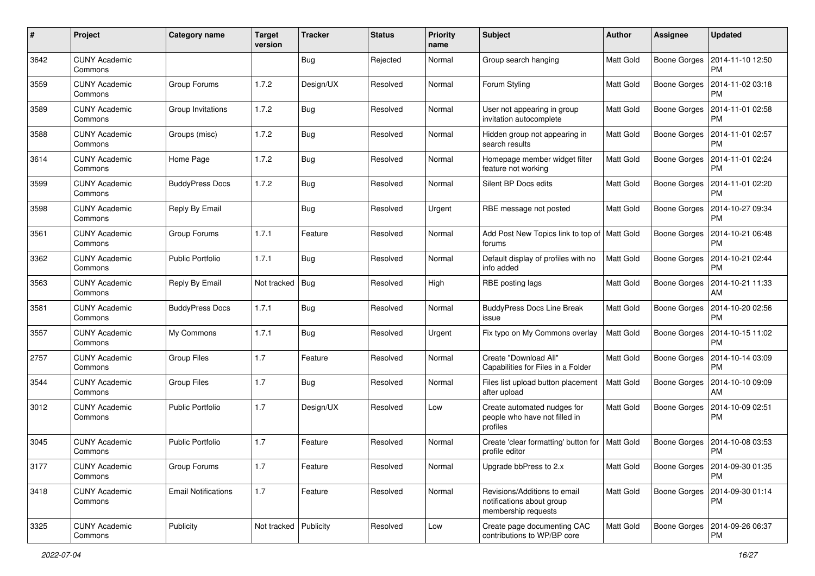| #    | Project                         | <b>Category name</b>       | <b>Target</b><br>version | <b>Tracker</b> | <b>Status</b> | <b>Priority</b><br>name | Subject                                                                          | <b>Author</b>    | <b>Assignee</b>     | <b>Updated</b>                               |
|------|---------------------------------|----------------------------|--------------------------|----------------|---------------|-------------------------|----------------------------------------------------------------------------------|------------------|---------------------|----------------------------------------------|
| 3642 | <b>CUNY Academic</b><br>Commons |                            |                          | Bug            | Rejected      | Normal                  | Group search hanging                                                             | Matt Gold        | <b>Boone Gorges</b> | 2014-11-10 12:50<br><b>PM</b>                |
| 3559 | <b>CUNY Academic</b><br>Commons | Group Forums               | 1.7.2                    | Design/UX      | Resolved      | Normal                  | Forum Styling                                                                    | Matt Gold        | <b>Boone Gorges</b> | 2014-11-02 03:18<br><b>PM</b>                |
| 3589 | <b>CUNY Academic</b><br>Commons | Group Invitations          | 1.7.2                    | Bug            | Resolved      | Normal                  | User not appearing in group<br>invitation autocomplete                           | Matt Gold        | <b>Boone Gorges</b> | 2014-11-01 02:58<br><b>PM</b>                |
| 3588 | <b>CUNY Academic</b><br>Commons | Groups (misc)              | 1.7.2                    | Bug            | Resolved      | Normal                  | Hidden group not appearing in<br>search results                                  | <b>Matt Gold</b> | <b>Boone Gorges</b> | 2014-11-01 02:57<br><b>PM</b>                |
| 3614 | <b>CUNY Academic</b><br>Commons | Home Page                  | 1.7.2                    | Bug            | Resolved      | Normal                  | Homepage member widget filter<br>feature not working                             | <b>Matt Gold</b> | <b>Boone Gorges</b> | 2014-11-01 02:24<br>PM                       |
| 3599 | <b>CUNY Academic</b><br>Commons | <b>BuddyPress Docs</b>     | 1.7.2                    | Bug            | Resolved      | Normal                  | Silent BP Docs edits                                                             | Matt Gold        | Boone Gorges        | 2014-11-01 02:20<br><b>PM</b>                |
| 3598 | <b>CUNY Academic</b><br>Commons | Reply By Email             |                          | Bug            | Resolved      | Urgent                  | RBE message not posted                                                           | Matt Gold        | Boone Gorges        | 2014-10-27 09:34<br><b>PM</b>                |
| 3561 | <b>CUNY Academic</b><br>Commons | Group Forums               | 1.7.1                    | Feature        | Resolved      | Normal                  | Add Post New Topics link to top of   Matt Gold<br>forums                         |                  | <b>Boone Gorges</b> | 2014-10-21 06:48<br>PM                       |
| 3362 | <b>CUNY Academic</b><br>Commons | <b>Public Portfolio</b>    | 1.7.1                    | Bug            | Resolved      | Normal                  | Default display of profiles with no<br>info added                                | Matt Gold        | <b>Boone Gorges</b> | 2014-10-21 02:44<br><b>PM</b>                |
| 3563 | <b>CUNY Academic</b><br>Commons | Reply By Email             | Not tracked              | <b>Bug</b>     | Resolved      | High                    | RBE posting lags                                                                 | Matt Gold        | <b>Boone Gorges</b> | 2014-10-21 11:33<br>AM                       |
| 3581 | <b>CUNY Academic</b><br>Commons | <b>BuddyPress Docs</b>     | 1.7.1                    | Bug            | Resolved      | Normal                  | <b>BuddyPress Docs Line Break</b><br>issue                                       | <b>Matt Gold</b> | <b>Boone Gorges</b> | 2014-10-20 02:56<br><b>PM</b>                |
| 3557 | <b>CUNY Academic</b><br>Commons | My Commons                 | 1.7.1                    | Bug            | Resolved      | Urgent                  | Fix typo on My Commons overlay                                                   | <b>Matt Gold</b> | <b>Boone Gorges</b> | 2014-10-15 11:02<br><b>PM</b>                |
| 2757 | <b>CUNY Academic</b><br>Commons | Group Files                | 1.7                      | Feature        | Resolved      | Normal                  | Create "Download All"<br>Capabilities for Files in a Folder                      | <b>Matt Gold</b> | Boone Gorges        | 2014-10-14 03:09<br><b>PM</b>                |
| 3544 | <b>CUNY Academic</b><br>Commons | Group Files                | 1.7                      | Bug            | Resolved      | Normal                  | Files list upload button placement<br>after upload                               | <b>Matt Gold</b> | Boone Gorges        | 2014-10-10 09:09<br>AM                       |
| 3012 | <b>CUNY Academic</b><br>Commons | <b>Public Portfolio</b>    | 1.7                      | Design/UX      | Resolved      | Low                     | Create automated nudges for<br>people who have not filled in<br>profiles         | Matt Gold        | <b>Boone Gorges</b> | 2014-10-09 02:51<br><b>PM</b>                |
| 3045 | <b>CUNY Academic</b><br>Commons | <b>Public Portfolio</b>    | 1.7                      | Feature        | Resolved      | Normal                  | Create 'clear formatting' button for<br>profile editor                           | <b>Matt Gold</b> | <b>Boone Gorges</b> | 2014-10-08 03:53<br><b>PM</b>                |
| 3177 | <b>CUNY Academic</b><br>Commons | <b>Group Forums</b>        | 1.7                      | Feature        | Resolved      | Normal                  | Upgrade bbPress to 2.x                                                           | <b>Matt Gold</b> |                     | Boone Gorges   2014-09-30 01:35<br><b>PM</b> |
| 3418 | <b>CUNY Academic</b><br>Commons | <b>Email Notifications</b> | 1.7                      | Feature        | Resolved      | Normal                  | Revisions/Additions to email<br>notifications about group<br>membership requests | Matt Gold        | <b>Boone Gorges</b> | 2014-09-30 01:14<br><b>PM</b>                |
| 3325 | <b>CUNY Academic</b><br>Commons | Publicity                  | Not tracked Publicity    |                | Resolved      | Low                     | Create page documenting CAC<br>contributions to WP/BP core                       | Matt Gold        | <b>Boone Gorges</b> | 2014-09-26 06:37<br><b>PM</b>                |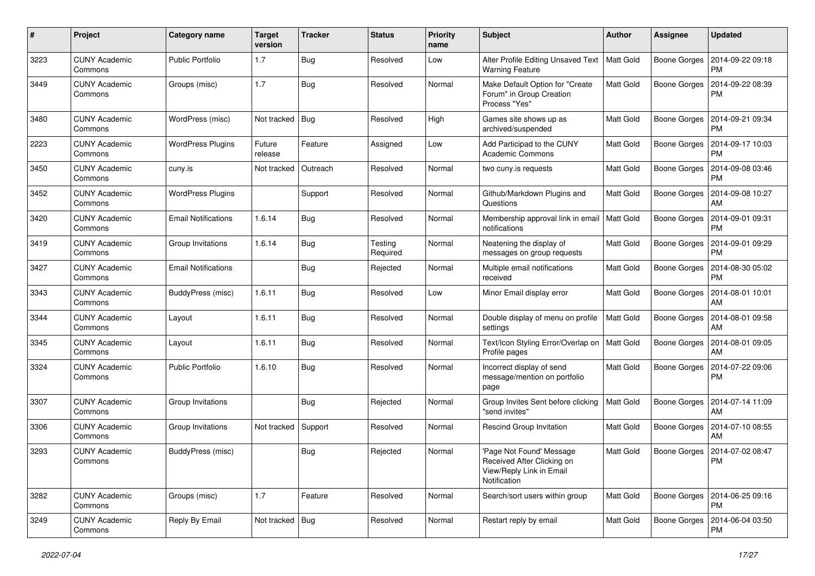| #    | Project                         | Category name              | <b>Target</b><br>version | <b>Tracker</b> | <b>Status</b>       | <b>Priority</b><br>name | Subject                                                                                            | <b>Author</b>    | <b>Assignee</b>     | <b>Updated</b>                               |
|------|---------------------------------|----------------------------|--------------------------|----------------|---------------------|-------------------------|----------------------------------------------------------------------------------------------------|------------------|---------------------|----------------------------------------------|
| 3223 | <b>CUNY Academic</b><br>Commons | <b>Public Portfolio</b>    | 1.7                      | Bug            | Resolved            | Low                     | Alter Profile Editing Unsaved Text<br><b>Warning Feature</b>                                       | Matt Gold        | <b>Boone Gorges</b> | 2014-09-22 09:18<br><b>PM</b>                |
| 3449 | <b>CUNY Academic</b><br>Commons | Groups (misc)              | 1.7                      | Bug            | Resolved            | Normal                  | Make Default Option for "Create<br>Forum" in Group Creation<br>Process "Yes"                       | <b>Matt Gold</b> | <b>Boone Gorges</b> | 2014-09-22 08:39<br>PM                       |
| 3480 | <b>CUNY Academic</b><br>Commons | WordPress (misc)           | Not tracked              | Bug            | Resolved            | High                    | Games site shows up as<br>archived/suspended                                                       | <b>Matt Gold</b> | Boone Gorges        | 2014-09-21 09:34<br><b>PM</b>                |
| 2223 | <b>CUNY Academic</b><br>Commons | <b>WordPress Plugins</b>   | Future<br>release        | Feature        | Assigned            | Low                     | Add Participad to the CUNY<br><b>Academic Commons</b>                                              | Matt Gold        | <b>Boone Gorges</b> | 2014-09-17 10:03<br><b>PM</b>                |
| 3450 | <b>CUNY Academic</b><br>Commons | cuny.is                    | Not tracked              | Outreach       | Resolved            | Normal                  | two cuny.is requests                                                                               | Matt Gold        | <b>Boone Gorges</b> | 2014-09-08 03:46<br><b>PM</b>                |
| 3452 | <b>CUNY Academic</b><br>Commons | <b>WordPress Plugins</b>   |                          | Support        | Resolved            | Normal                  | Github/Markdown Plugins and<br>Questions                                                           | <b>Matt Gold</b> | Boone Gorges        | 2014-09-08 10:27<br>AM                       |
| 3420 | <b>CUNY Academic</b><br>Commons | <b>Email Notifications</b> | 1.6.14                   | Bug            | Resolved            | Normal                  | Membership approval link in email<br>notifications                                                 | Matt Gold        | Boone Gorges        | 2014-09-01 09:31<br><b>PM</b>                |
| 3419 | <b>CUNY Academic</b><br>Commons | Group Invitations          | 1.6.14                   | Bug            | Testing<br>Required | Normal                  | Neatening the display of<br>messages on group requests                                             | Matt Gold        | Boone Gorges        | 2014-09-01 09:29<br><b>PM</b>                |
| 3427 | <b>CUNY Academic</b><br>Commons | <b>Email Notifications</b> |                          | Bug            | Rejected            | Normal                  | Multiple email notifications<br>received                                                           | Matt Gold        | <b>Boone Gorges</b> | 2014-08-30 05:02<br><b>PM</b>                |
| 3343 | <b>CUNY Academic</b><br>Commons | BuddyPress (misc)          | 1.6.11                   | Bug            | Resolved            | Low                     | Minor Email display error                                                                          | Matt Gold        | Boone Gorges        | 2014-08-01 10:01<br>AM                       |
| 3344 | <b>CUNY Academic</b><br>Commons | Layout                     | 1.6.11                   | Bug            | Resolved            | Normal                  | Double display of menu on profile<br>settings                                                      | Matt Gold        | Boone Gorges        | 2014-08-01 09:58<br>AM                       |
| 3345 | <b>CUNY Academic</b><br>Commons | Layout                     | 1.6.11                   | Bug            | Resolved            | Normal                  | Text/Icon Styling Error/Overlap on<br>Profile pages                                                | Matt Gold        | Boone Gorges        | 2014-08-01 09:05<br>AM                       |
| 3324 | <b>CUNY Academic</b><br>Commons | <b>Public Portfolio</b>    | 1.6.10                   | Bug            | Resolved            | Normal                  | Incorrect display of send<br>message/mention on portfolio<br>page                                  | <b>Matt Gold</b> | Boone Gorges        | 2014-07-22 09:06<br><b>PM</b>                |
| 3307 | <b>CUNY Academic</b><br>Commons | Group Invitations          |                          | Bug            | Rejected            | Normal                  | Group Invites Sent before clicking<br>"send invites"                                               | <b>Matt Gold</b> | Boone Gorges        | 2014-07-14 11:09<br>AM                       |
| 3306 | <b>CUNY Academic</b><br>Commons | Group Invitations          | Not tracked              | Support        | Resolved            | Normal                  | <b>Rescind Group Invitation</b>                                                                    | Matt Gold        | Boone Gorges        | 2014-07-10 08:55<br>AM                       |
| 3293 | <b>CUNY Academic</b><br>Commons | BuddyPress (misc)          |                          | Bug            | Rejected            | Normal                  | 'Page Not Found' Message<br>Received After Clicking on<br>View/Reply Link in Email<br>Notification | Matt Gold        |                     | Boone Gorges   2014-07-02 08:47<br>PM        |
| 3282 | <b>CUNY Academic</b><br>Commons | Groups (misc)              | 1.7                      | Feature        | Resolved            | Normal                  | Search/sort users within group                                                                     | Matt Gold        |                     | Boone Gorges   2014-06-25 09:16<br><b>PM</b> |
| 3249 | <b>CUNY Academic</b><br>Commons | Reply By Email             | Not tracked   Bug        |                | Resolved            | Normal                  | Restart reply by email                                                                             | Matt Gold        | Boone Gorges        | 2014-06-04 03:50<br>PM                       |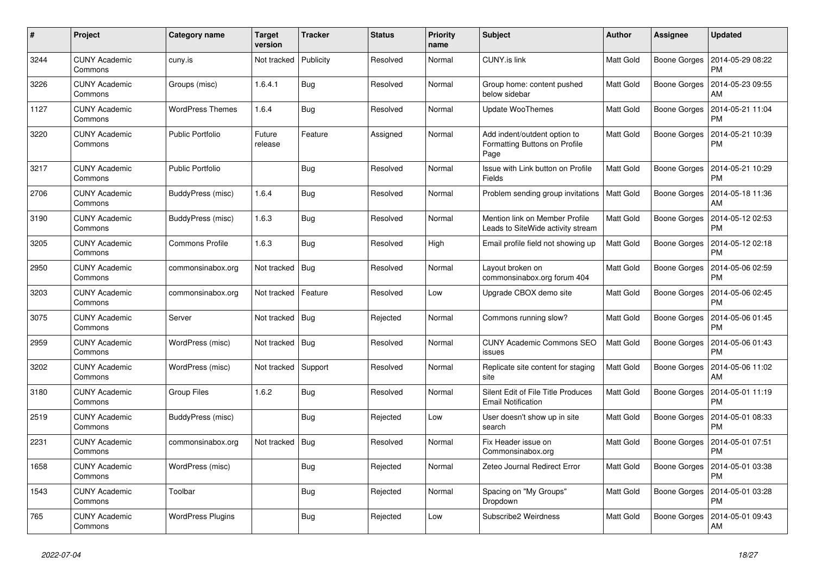| #    | Project                         | Category name            | Target<br>version | <b>Tracker</b> | <b>Status</b> | <b>Priority</b><br>name | <b>Subject</b>                                                        | <b>Author</b>    | Assignee            | <b>Updated</b>                |
|------|---------------------------------|--------------------------|-------------------|----------------|---------------|-------------------------|-----------------------------------------------------------------------|------------------|---------------------|-------------------------------|
| 3244 | <b>CUNY Academic</b><br>Commons | cuny.is                  | Not tracked       | Publicity      | Resolved      | Normal                  | <b>CUNY.is link</b>                                                   | <b>Matt Gold</b> | <b>Boone Gorges</b> | 2014-05-29 08:22<br><b>PM</b> |
| 3226 | <b>CUNY Academic</b><br>Commons | Groups (misc)            | 1.6.4.1           | <b>Bug</b>     | Resolved      | Normal                  | Group home: content pushed<br>below sidebar                           | <b>Matt Gold</b> | <b>Boone Gorges</b> | 2014-05-23 09:55<br>AM        |
| 1127 | <b>CUNY Academic</b><br>Commons | WordPress Themes         | 1.6.4             | Bug            | Resolved      | Normal                  | <b>Update WooThemes</b>                                               | Matt Gold        | <b>Boone Gorges</b> | 2014-05-21 11:04<br><b>PM</b> |
| 3220 | <b>CUNY Academic</b><br>Commons | <b>Public Portfolio</b>  | Future<br>release | Feature        | Assigned      | Normal                  | Add indent/outdent option to<br>Formatting Buttons on Profile<br>Page | <b>Matt Gold</b> | <b>Boone Gorges</b> | 2014-05-21 10:39<br><b>PM</b> |
| 3217 | <b>CUNY Academic</b><br>Commons | <b>Public Portfolio</b>  |                   | Bug            | Resolved      | Normal                  | Issue with Link button on Profile<br>Fields                           | Matt Gold        | <b>Boone Gorges</b> | 2014-05-21 10:29<br><b>PM</b> |
| 2706 | <b>CUNY Academic</b><br>Commons | BuddyPress (misc)        | 1.6.4             | Bug            | Resolved      | Normal                  | Problem sending group invitations   Matt Gold                         |                  | <b>Boone Gorges</b> | 2014-05-18 11:36<br>AM        |
| 3190 | <b>CUNY Academic</b><br>Commons | BuddyPress (misc)        | 1.6.3             | Bug            | Resolved      | Normal                  | Mention link on Member Profile<br>Leads to SiteWide activity stream   | <b>Matt Gold</b> | <b>Boone Gorges</b> | 2014-05-12 02:53<br><b>PM</b> |
| 3205 | <b>CUNY Academic</b><br>Commons | <b>Commons Profile</b>   | 1.6.3             | Bug            | Resolved      | High                    | Email profile field not showing up                                    | <b>Matt Gold</b> | <b>Boone Gorges</b> | 2014-05-12 02:18<br><b>PM</b> |
| 2950 | <b>CUNY Academic</b><br>Commons | commonsinabox.org        | Not tracked       | Bug            | Resolved      | Normal                  | Layout broken on<br>commonsinabox.org forum 404                       | <b>Matt Gold</b> | <b>Boone Gorges</b> | 2014-05-06 02:59<br><b>PM</b> |
| 3203 | <b>CUNY Academic</b><br>Commons | commonsinabox.org        | Not tracked       | Feature        | Resolved      | Low                     | Upgrade CBOX demo site                                                | Matt Gold        | <b>Boone Gorges</b> | 2014-05-06 02:45<br><b>PM</b> |
| 3075 | <b>CUNY Academic</b><br>Commons | Server                   | Not tracked       | Bua            | Rejected      | Normal                  | Commons running slow?                                                 | Matt Gold        | <b>Boone Gorges</b> | 2014-05-06 01:45<br><b>PM</b> |
| 2959 | <b>CUNY Academic</b><br>Commons | WordPress (misc)         | Not tracked       | Bug            | Resolved      | Normal                  | <b>CUNY Academic Commons SEO</b><br>issues                            | Matt Gold        | <b>Boone Gorges</b> | 2014-05-06 01:43<br><b>PM</b> |
| 3202 | <b>CUNY Academic</b><br>Commons | WordPress (misc)         | Not tracked       | Support        | Resolved      | Normal                  | Replicate site content for staging<br>site                            | Matt Gold        | Boone Gorges        | 2014-05-06 11:02<br>AM        |
| 3180 | <b>CUNY Academic</b><br>Commons | Group Files              | 1.6.2             | Bug            | Resolved      | Normal                  | Silent Edit of File Title Produces<br><b>Email Notification</b>       | Matt Gold        | <b>Boone Gorges</b> | 2014-05-01 11:19<br><b>PM</b> |
| 2519 | <b>CUNY Academic</b><br>Commons | BuddyPress (misc)        |                   | <b>Bug</b>     | Rejected      | Low                     | User doesn't show up in site<br>search                                | <b>Matt Gold</b> | <b>Boone Gorges</b> | 2014-05-01 08:33<br><b>PM</b> |
| 2231 | <b>CUNY Academic</b><br>Commons | commonsinabox.org        | Not tracked       | <b>Bug</b>     | Resolved      | Normal                  | Fix Header issue on<br>Commonsinabox.org                              | Matt Gold        | <b>Boone Gorges</b> | 2014-05-01 07:51<br><b>PM</b> |
| 1658 | <b>CUNY Academic</b><br>Commons | WordPress (misc)         |                   | Bug            | Rejected      | Normal                  | Zeteo Journal Redirect Error                                          | Matt Gold        | <b>Boone Gorges</b> | 2014-05-01 03:38<br><b>PM</b> |
| 1543 | <b>CUNY Academic</b><br>Commons | Toolbar                  |                   | <b>Bug</b>     | Rejected      | Normal                  | Spacing on "My Groups"<br>Dropdown                                    | Matt Gold        | <b>Boone Gorges</b> | 2014-05-01 03:28<br><b>PM</b> |
| 765  | <b>CUNY Academic</b><br>Commons | <b>WordPress Plugins</b> |                   | Bug            | Rejected      | Low                     | Subscribe2 Weirdness                                                  | Matt Gold        | <b>Boone Gorges</b> | 2014-05-01 09:43<br>AM        |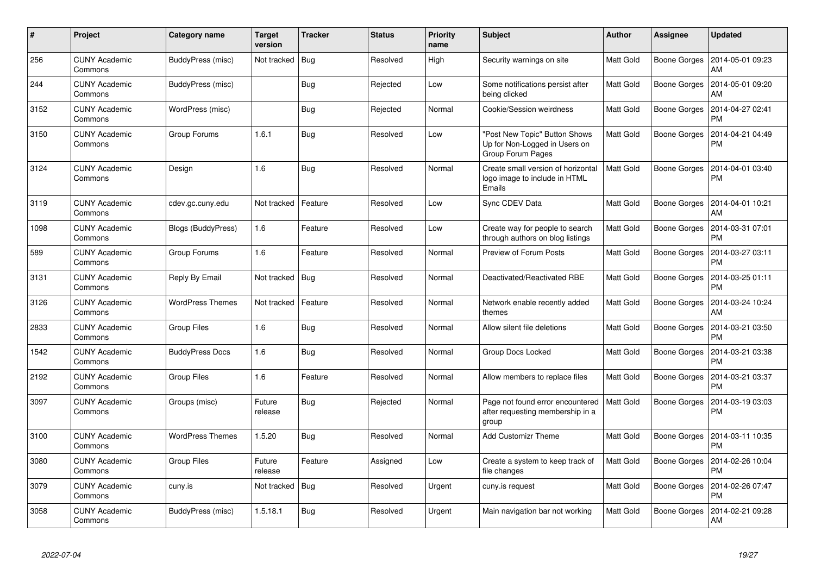| #    | <b>Project</b>                  | Category name           | Target<br>version | <b>Tracker</b> | <b>Status</b> | <b>Priority</b><br>name | <b>Subject</b>                                                                      | <b>Author</b>    | <b>Assignee</b>     | <b>Updated</b>                |
|------|---------------------------------|-------------------------|-------------------|----------------|---------------|-------------------------|-------------------------------------------------------------------------------------|------------------|---------------------|-------------------------------|
| 256  | <b>CUNY Academic</b><br>Commons | BuddyPress (misc)       | Not tracked       | Bug            | Resolved      | High                    | Security warnings on site                                                           | <b>Matt Gold</b> | Boone Gorges        | 2014-05-01 09:23<br>AM        |
| 244  | <b>CUNY Academic</b><br>Commons | BuddyPress (misc)       |                   | <b>Bug</b>     | Rejected      | Low                     | Some notifications persist after<br>being clicked                                   | <b>Matt Gold</b> | <b>Boone Gorges</b> | 2014-05-01 09:20<br>AM        |
| 3152 | <b>CUNY Academic</b><br>Commons | WordPress (misc)        |                   | <b>Bug</b>     | Rejected      | Normal                  | Cookie/Session weirdness                                                            | <b>Matt Gold</b> | Boone Gorges        | 2014-04-27 02:41<br><b>PM</b> |
| 3150 | <b>CUNY Academic</b><br>Commons | Group Forums            | 1.6.1             | <b>Bug</b>     | Resolved      | Low                     | 'Post New Topic" Button Shows<br>Up for Non-Logged in Users on<br>Group Forum Pages | <b>Matt Gold</b> | Boone Gorges        | 2014-04-21 04:49<br><b>PM</b> |
| 3124 | <b>CUNY Academic</b><br>Commons | Design                  | 1.6               | <b>Bug</b>     | Resolved      | Normal                  | Create small version of horizontal<br>logo image to include in HTML<br>Emails       | <b>Matt Gold</b> | Boone Gorges        | 2014-04-01 03:40<br><b>PM</b> |
| 3119 | <b>CUNY Academic</b><br>Commons | cdev.gc.cuny.edu        | Not tracked       | Feature        | Resolved      | Low                     | Sync CDEV Data                                                                      | <b>Matt Gold</b> | Boone Gorges        | 2014-04-01 10:21<br>AM        |
| 1098 | <b>CUNY Academic</b><br>Commons | Blogs (BuddyPress)      | 1.6               | Feature        | Resolved      | Low                     | Create way for people to search<br>through authors on blog listings                 | Matt Gold        | Boone Gorges        | 2014-03-31 07:01<br><b>PM</b> |
| 589  | <b>CUNY Academic</b><br>Commons | Group Forums            | 1.6               | Feature        | Resolved      | Normal                  | Preview of Forum Posts                                                              | <b>Matt Gold</b> | Boone Gorges        | 2014-03-27 03:11<br><b>PM</b> |
| 3131 | <b>CUNY Academic</b><br>Commons | Reply By Email          | Not tracked       | Bug            | Resolved      | Normal                  | Deactivated/Reactivated RBE                                                         | <b>Matt Gold</b> | Boone Gorges        | 2014-03-25 01:11<br><b>PM</b> |
| 3126 | <b>CUNY Academic</b><br>Commons | <b>WordPress Themes</b> | Not tracked       | Feature        | Resolved      | Normal                  | Network enable recently added<br>themes                                             | Matt Gold        | Boone Gorges        | 2014-03-24 10:24<br>AM        |
| 2833 | <b>CUNY Academic</b><br>Commons | <b>Group Files</b>      | 1.6               | <b>Bug</b>     | Resolved      | Normal                  | Allow silent file deletions                                                         | <b>Matt Gold</b> | Boone Gorges        | 2014-03-21 03:50<br><b>PM</b> |
| 1542 | <b>CUNY Academic</b><br>Commons | <b>BuddyPress Docs</b>  | 1.6               | <b>Bug</b>     | Resolved      | Normal                  | <b>Group Docs Locked</b>                                                            | Matt Gold        | Boone Gorges        | 2014-03-21 03:38<br><b>PM</b> |
| 2192 | <b>CUNY Academic</b><br>Commons | Group Files             | 1.6               | Feature        | Resolved      | Normal                  | Allow members to replace files                                                      | <b>Matt Gold</b> | <b>Boone Gorges</b> | 2014-03-21 03:37<br><b>PM</b> |
| 3097 | <b>CUNY Academic</b><br>Commons | Groups (misc)           | Future<br>release | Bug            | Rejected      | Normal                  | Page not found error encountered<br>after requesting membership in a<br>group       | <b>Matt Gold</b> | Boone Gorges        | 2014-03-19 03:03<br><b>PM</b> |
| 3100 | <b>CUNY Academic</b><br>Commons | <b>WordPress Themes</b> | 1.5.20            | <b>Bug</b>     | Resolved      | Normal                  | <b>Add Customizr Theme</b>                                                          | <b>Matt Gold</b> | Boone Gorges        | 2014-03-11 10:35<br><b>PM</b> |
| 3080 | <b>CUNY Academic</b><br>Commons | <b>Group Files</b>      | Future<br>release | Feature        | Assigned      | Low                     | Create a system to keep track of<br>file changes                                    | Matt Gold        | Boone Gorges        | 2014-02-26 10:04<br><b>PM</b> |
| 3079 | <b>CUNY Academic</b><br>Commons | cuny.is                 | Not tracked       | Bug            | Resolved      | Urgent                  | cuny.is request                                                                     | Matt Gold        | Boone Gorges        | 2014-02-26 07:47<br><b>PM</b> |
| 3058 | <b>CUNY Academic</b><br>Commons | BuddyPress (misc)       | 1.5.18.1          | Bug            | Resolved      | Urgent                  | Main navigation bar not working                                                     | <b>Matt Gold</b> | Boone Gorges        | 2014-02-21 09:28<br><b>AM</b> |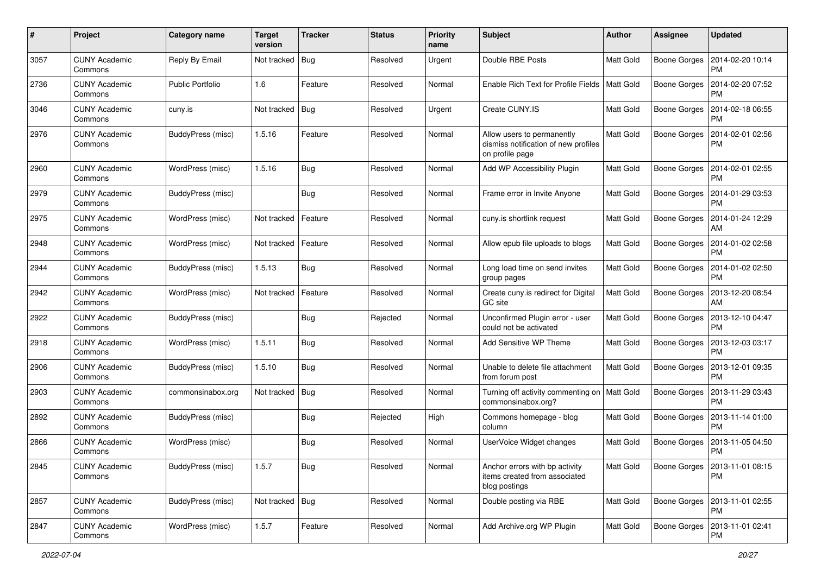| #    | Project                         | Category name           | <b>Target</b><br>version | <b>Tracker</b> | <b>Status</b> | Priority<br>name | Subject                                                                               | <b>Author</b>    | <b>Assignee</b>     | <b>Updated</b>                               |
|------|---------------------------------|-------------------------|--------------------------|----------------|---------------|------------------|---------------------------------------------------------------------------------------|------------------|---------------------|----------------------------------------------|
| 3057 | <b>CUNY Academic</b><br>Commons | Reply By Email          | Not tracked              | Bug            | Resolved      | Urgent           | Double RBE Posts                                                                      | Matt Gold        | <b>Boone Gorges</b> | 2014-02-20 10:14<br>PM                       |
| 2736 | <b>CUNY Academic</b><br>Commons | <b>Public Portfolio</b> | 1.6                      | Feature        | Resolved      | Normal           | Enable Rich Text for Profile Fields                                                   | <b>Matt Gold</b> | <b>Boone Gorges</b> | 2014-02-20 07:52<br><b>PM</b>                |
| 3046 | <b>CUNY Academic</b><br>Commons | cuny.is                 | Not tracked              | <b>Bug</b>     | Resolved      | Urgent           | Create CUNY.IS                                                                        | Matt Gold        | <b>Boone Gorges</b> | 2014-02-18 06:55<br><b>PM</b>                |
| 2976 | <b>CUNY Academic</b><br>Commons | BuddyPress (misc)       | 1.5.16                   | Feature        | Resolved      | Normal           | Allow users to permanently<br>dismiss notification of new profiles<br>on profile page | <b>Matt Gold</b> | <b>Boone Gorges</b> | 2014-02-01 02:56<br><b>PM</b>                |
| 2960 | <b>CUNY Academic</b><br>Commons | WordPress (misc)        | 1.5.16                   | Bug            | Resolved      | Normal           | Add WP Accessibility Plugin                                                           | <b>Matt Gold</b> | <b>Boone Gorges</b> | 2014-02-01 02:55<br><b>PM</b>                |
| 2979 | <b>CUNY Academic</b><br>Commons | BuddyPress (misc)       |                          | Bug            | Resolved      | Normal           | Frame error in Invite Anyone                                                          | <b>Matt Gold</b> | <b>Boone Gorges</b> | 2014-01-29 03:53<br><b>PM</b>                |
| 2975 | <b>CUNY Academic</b><br>Commons | WordPress (misc)        | Not tracked              | Feature        | Resolved      | Normal           | cuny.is shortlink request                                                             | <b>Matt Gold</b> | <b>Boone Gorges</b> | 2014-01-24 12:29<br>AM                       |
| 2948 | <b>CUNY Academic</b><br>Commons | WordPress (misc)        | Not tracked              | Feature        | Resolved      | Normal           | Allow epub file uploads to blogs                                                      | <b>Matt Gold</b> | <b>Boone Gorges</b> | 2014-01-02 02:58<br><b>PM</b>                |
| 2944 | <b>CUNY Academic</b><br>Commons | BuddyPress (misc)       | 1.5.13                   | Bug            | Resolved      | Normal           | Long load time on send invites<br>group pages                                         | Matt Gold        | <b>Boone Gorges</b> | 2014-01-02 02:50<br>PM                       |
| 2942 | <b>CUNY Academic</b><br>Commons | WordPress (misc)        | Not tracked              | Feature        | Resolved      | Normal           | Create cuny.is redirect for Digital<br>GC site                                        | <b>Matt Gold</b> | <b>Boone Gorges</b> | 2013-12-20 08:54<br>AM                       |
| 2922 | <b>CUNY Academic</b><br>Commons | BuddyPress (misc)       |                          | Bug            | Rejected      | Normal           | Unconfirmed Plugin error - user<br>could not be activated                             | Matt Gold        | Boone Gorges        | 2013-12-10 04:47<br><b>PM</b>                |
| 2918 | <b>CUNY Academic</b><br>Commons | WordPress (misc)        | 1.5.11                   | Bug            | Resolved      | Normal           | Add Sensitive WP Theme                                                                | <b>Matt Gold</b> | <b>Boone Gorges</b> | 2013-12-03 03:17<br><b>PM</b>                |
| 2906 | <b>CUNY Academic</b><br>Commons | BuddyPress (misc)       | 1.5.10                   | Bug            | Resolved      | Normal           | Unable to delete file attachment<br>from forum post                                   | <b>Matt Gold</b> | <b>Boone Gorges</b> | 2013-12-01 09:35<br>PM                       |
| 2903 | <b>CUNY Academic</b><br>Commons | commonsinabox.org       | Not tracked              | Bug            | Resolved      | Normal           | Turning off activity commenting on   Matt Gold<br>commonsinabox.org?                  |                  | <b>Boone Gorges</b> | 2013-11-29 03:43<br><b>PM</b>                |
| 2892 | <b>CUNY Academic</b><br>Commons | BuddyPress (misc)       |                          | <b>Bug</b>     | Rejected      | High             | Commons homepage - blog<br>column                                                     | <b>Matt Gold</b> | <b>Boone Gorges</b> | 2013-11-14 01:00<br><b>PM</b>                |
| 2866 | <b>CUNY Academic</b><br>Commons | WordPress (misc)        |                          | <b>Bug</b>     | Resolved      | Normal           | UserVoice Widget changes                                                              | <b>Matt Gold</b> | <b>Boone Gorges</b> | 2013-11-05 04:50<br><b>PM</b>                |
| 2845 | <b>CUNY Academic</b><br>Commons | BuddyPress (misc)       | 1.5.7                    | Bug            | Resolved      | Normal           | Anchor errors with bp activity<br>items created from associated<br>blog postings      | <b>Matt Gold</b> |                     | Boone Gorges   2013-11-01 08:15<br><b>PM</b> |
| 2857 | <b>CUNY Academic</b><br>Commons | BuddyPress (misc)       | Not tracked Bug          |                | Resolved      | Normal           | Double posting via RBE                                                                | <b>Matt Gold</b> | Boone Gorges        | 2013-11-01 02:55<br><b>PM</b>                |
| 2847 | <b>CUNY Academic</b><br>Commons | WordPress (misc)        | 1.5.7                    | Feature        | Resolved      | Normal           | Add Archive.org WP Plugin                                                             | Matt Gold        | <b>Boone Gorges</b> | 2013-11-01 02:41<br>PM                       |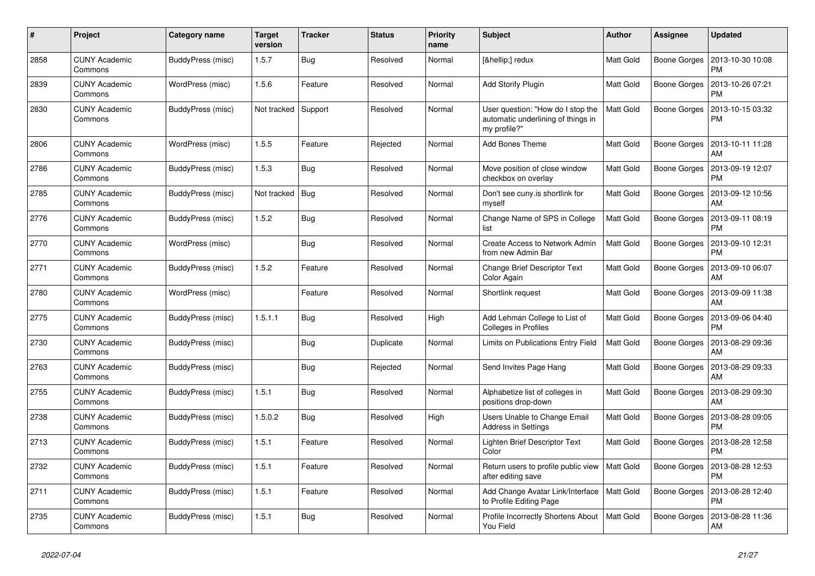| #    | Project                         | Category name     | <b>Target</b><br>version | <b>Tracker</b> | <b>Status</b> | <b>Priority</b><br>name | <b>Subject</b>                                                                          | <b>Author</b>    | Assignee            | <b>Updated</b>                |
|------|---------------------------------|-------------------|--------------------------|----------------|---------------|-------------------------|-----------------------------------------------------------------------------------------|------------------|---------------------|-------------------------------|
| 2858 | <b>CUNY Academic</b><br>Commons | BuddyPress (misc) | 1.5.7                    | Bug            | Resolved      | Normal                  | […] redux                                                                               | <b>Matt Gold</b> | <b>Boone Gorges</b> | 2013-10-30 10:08<br><b>PM</b> |
| 2839 | <b>CUNY Academic</b><br>Commons | WordPress (misc)  | 1.5.6                    | Feature        | Resolved      | Normal                  | <b>Add Storify Plugin</b>                                                               | <b>Matt Gold</b> | <b>Boone Gorges</b> | 2013-10-26 07:21<br><b>PM</b> |
| 2830 | <b>CUNY Academic</b><br>Commons | BuddyPress (misc) | Not tracked              | Support        | Resolved      | Normal                  | User question: "How do I stop the<br>automatic underlining of things in<br>my profile?" | Matt Gold        | <b>Boone Gorges</b> | 2013-10-15 03:32<br><b>PM</b> |
| 2806 | <b>CUNY Academic</b><br>Commons | WordPress (misc)  | 1.5.5                    | Feature        | Rejected      | Normal                  | <b>Add Bones Theme</b>                                                                  | <b>Matt Gold</b> | <b>Boone Gorges</b> | 2013-10-11 11:28<br>AM        |
| 2786 | <b>CUNY Academic</b><br>Commons | BuddyPress (misc) | 1.5.3                    | Bug            | Resolved      | Normal                  | Move position of close window<br>checkbox on overlay                                    | <b>Matt Gold</b> | Boone Gorges        | 2013-09-19 12:07<br><b>PM</b> |
| 2785 | <b>CUNY Academic</b><br>Commons | BuddyPress (misc) | Not tracked              | Bug            | Resolved      | Normal                  | Don't see cuny is shortlink for<br>myself                                               | Matt Gold        | <b>Boone Gorges</b> | 2013-09-12 10:56<br>AM        |
| 2776 | <b>CUNY Academic</b><br>Commons | BuddyPress (misc) | 1.5.2                    | Bug            | Resolved      | Normal                  | Change Name of SPS in College<br>list                                                   | <b>Matt Gold</b> | <b>Boone Gorges</b> | 2013-09-11 08:19<br><b>PM</b> |
| 2770 | <b>CUNY Academic</b><br>Commons | WordPress (misc)  |                          | <b>Bug</b>     | Resolved      | Normal                  | Create Access to Network Admin<br>from new Admin Bar                                    | Matt Gold        | <b>Boone Gorges</b> | 2013-09-10 12:31<br><b>PM</b> |
| 2771 | <b>CUNY Academic</b><br>Commons | BuddyPress (misc) | 1.5.2                    | Feature        | Resolved      | Normal                  | Change Brief Descriptor Text<br>Color Again                                             | <b>Matt Gold</b> | <b>Boone Gorges</b> | 2013-09-10 06:07<br>AM        |
| 2780 | <b>CUNY Academic</b><br>Commons | WordPress (misc)  |                          | Feature        | Resolved      | Normal                  | Shortlink request                                                                       | Matt Gold        | <b>Boone Gorges</b> | 2013-09-09 11:38<br>AM        |
| 2775 | <b>CUNY Academic</b><br>Commons | BuddyPress (misc) | 1.5.1.1                  | Bug            | Resolved      | High                    | Add Lehman College to List of<br><b>Colleges in Profiles</b>                            | Matt Gold        | <b>Boone Gorges</b> | 2013-09-06 04:40<br><b>PM</b> |
| 2730 | <b>CUNY Academic</b><br>Commons | BuddyPress (misc) |                          | <b>Bug</b>     | Duplicate     | Normal                  | Limits on Publications Entry Field                                                      | <b>Matt Gold</b> | <b>Boone Gorges</b> | 2013-08-29 09:36<br>AM        |
| 2763 | <b>CUNY Academic</b><br>Commons | BuddyPress (misc) |                          | <b>Bug</b>     | Rejected      | Normal                  | Send Invites Page Hang                                                                  | Matt Gold        | <b>Boone Gorges</b> | 2013-08-29 09:33<br>AM        |
| 2755 | <b>CUNY Academic</b><br>Commons | BuddyPress (misc) | 1.5.1                    | <b>Bug</b>     | Resolved      | Normal                  | Alphabetize list of colleges in<br>positions drop-down                                  | Matt Gold        | Boone Gorges        | 2013-08-29 09:30<br>AM        |
| 2738 | <b>CUNY Academic</b><br>Commons | BuddyPress (misc) | 1.5.0.2                  | Bug            | Resolved      | High                    | Users Unable to Change Email<br><b>Address in Settings</b>                              | <b>Matt Gold</b> | <b>Boone Gorges</b> | 2013-08-28 09:05<br><b>PM</b> |
| 2713 | <b>CUNY Academic</b><br>Commons | BuddyPress (misc) | 1.5.1                    | Feature        | Resolved      | Normal                  | Lighten Brief Descriptor Text<br>Color                                                  | <b>Matt Gold</b> | <b>Boone Gorges</b> | 2013-08-28 12:58<br><b>PM</b> |
| 2732 | <b>CUNY Academic</b><br>Commons | BuddyPress (misc) | 1.5.1                    | Feature        | Resolved      | Normal                  | Return users to profile public view<br>after editing save                               | Matt Gold        | <b>Boone Gorges</b> | 2013-08-28 12:53<br><b>PM</b> |
| 2711 | <b>CUNY Academic</b><br>Commons | BuddyPress (misc) | 1.5.1                    | Feature        | Resolved      | Normal                  | Add Change Avatar Link/Interface<br>to Profile Editing Page                             | <b>Matt Gold</b> | <b>Boone Gorges</b> | 2013-08-28 12:40<br><b>PM</b> |
| 2735 | <b>CUNY Academic</b><br>Commons | BuddyPress (misc) | 1.5.1                    | Bug            | Resolved      | Normal                  | Profile Incorrectly Shortens About<br>You Field                                         | <b>Matt Gold</b> | <b>Boone Gorges</b> | 2013-08-28 11:36<br>AM        |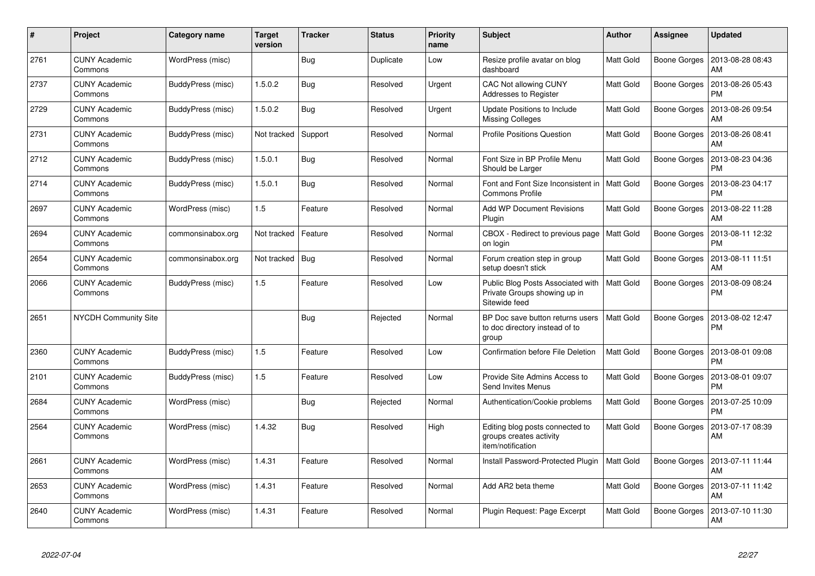| #    | Project                         | Category name     | Target<br>version | <b>Tracker</b> | <b>Status</b> | <b>Priority</b><br>name | <b>Subject</b>                                                                     | <b>Author</b>    | Assignee            | <b>Updated</b>                |
|------|---------------------------------|-------------------|-------------------|----------------|---------------|-------------------------|------------------------------------------------------------------------------------|------------------|---------------------|-------------------------------|
| 2761 | <b>CUNY Academic</b><br>Commons | WordPress (misc)  |                   | Bug            | Duplicate     | Low                     | Resize profile avatar on blog<br>dashboard                                         | <b>Matt Gold</b> | Boone Gorges        | 2013-08-28 08:43<br>AM        |
| 2737 | <b>CUNY Academic</b><br>Commons | BuddyPress (misc) | 1.5.0.2           | <b>Bug</b>     | Resolved      | Urgent                  | CAC Not allowing CUNY<br>Addresses to Register                                     | Matt Gold        | Boone Gorges        | 2013-08-26 05:43<br><b>PM</b> |
| 2729 | <b>CUNY Academic</b><br>Commons | BuddyPress (misc) | 1.5.0.2           | Bug            | Resolved      | Urgent                  | Update Positions to Include<br><b>Missing Colleges</b>                             | <b>Matt Gold</b> | <b>Boone Gorges</b> | 2013-08-26 09:54<br>AM        |
| 2731 | <b>CUNY Academic</b><br>Commons | BuddyPress (misc) | Not tracked       | Support        | Resolved      | Normal                  | <b>Profile Positions Question</b>                                                  | <b>Matt Gold</b> | Boone Gorges        | 2013-08-26 08:41<br>AM        |
| 2712 | <b>CUNY Academic</b><br>Commons | BuddyPress (misc) | 1.5.0.1           | Bug            | Resolved      | Normal                  | Font Size in BP Profile Menu<br>Should be Larger                                   | <b>Matt Gold</b> | Boone Gorges        | 2013-08-23 04:36<br><b>PM</b> |
| 2714 | <b>CUNY Academic</b><br>Commons | BuddyPress (misc) | 1.5.0.1           | Bug            | Resolved      | Normal                  | Font and Font Size Inconsistent in<br><b>Commons Profile</b>                       | <b>Matt Gold</b> | Boone Gorges        | 2013-08-23 04:17<br><b>PM</b> |
| 2697 | <b>CUNY Academic</b><br>Commons | WordPress (misc)  | 1.5               | Feature        | Resolved      | Normal                  | <b>Add WP Document Revisions</b><br>Plugin                                         | <b>Matt Gold</b> | Boone Gorges        | 2013-08-22 11:28<br>AM        |
| 2694 | <b>CUNY Academic</b><br>Commons | commonsinabox.org | Not tracked       | Feature        | Resolved      | Normal                  | CBOX - Redirect to previous page<br>on login                                       | <b>Matt Gold</b> | Boone Gorges        | 2013-08-11 12:32<br><b>PM</b> |
| 2654 | <b>CUNY Academic</b><br>Commons | commonsinabox.org | Not tracked       | Bug            | Resolved      | Normal                  | Forum creation step in group<br>setup doesn't stick                                | Matt Gold        | Boone Gorges        | 2013-08-11 11:51<br>AM        |
| 2066 | <b>CUNY Academic</b><br>Commons | BuddyPress (misc) | 1.5               | Feature        | Resolved      | Low                     | Public Blog Posts Associated with<br>Private Groups showing up in<br>Sitewide feed | <b>Matt Gold</b> | <b>Boone Gorges</b> | 2013-08-09 08:24<br><b>PM</b> |
| 2651 | <b>NYCDH Community Site</b>     |                   |                   | Bug            | Rejected      | Normal                  | BP Doc save button returns users<br>to doc directory instead of to<br>group        | <b>Matt Gold</b> | Boone Gorges        | 2013-08-02 12:47<br><b>PM</b> |
| 2360 | <b>CUNY Academic</b><br>Commons | BuddyPress (misc) | 1.5               | Feature        | Resolved      | Low                     | Confirmation before File Deletion                                                  | Matt Gold        | Boone Gorges        | 2013-08-01 09:08<br><b>PM</b> |
| 2101 | <b>CUNY Academic</b><br>Commons | BuddyPress (misc) | 1.5               | Feature        | Resolved      | Low                     | Provide Site Admins Access to<br>Send Invites Menus                                | Matt Gold        | <b>Boone Gorges</b> | 2013-08-01 09:07<br><b>PM</b> |
| 2684 | <b>CUNY Academic</b><br>Commons | WordPress (misc)  |                   | Bug            | Rejected      | Normal                  | Authentication/Cookie problems                                                     | <b>Matt Gold</b> | Boone Gorges        | 2013-07-25 10:09<br><b>PM</b> |
| 2564 | <b>CUNY Academic</b><br>Commons | WordPress (misc)  | 1.4.32            | Bug            | Resolved      | High                    | Editing blog posts connected to<br>groups creates activity<br>item/notification    | <b>Matt Gold</b> | <b>Boone Gorges</b> | 2013-07-17 08:39<br>AM        |
| 2661 | <b>CUNY Academic</b><br>Commons | WordPress (misc)  | 1.4.31            | Feature        | Resolved      | Normal                  | Install Password-Protected Plugin                                                  | Matt Gold        | Boone Gorges        | 2013-07-11 11:44<br>AM        |
| 2653 | <b>CUNY Academic</b><br>Commons | WordPress (misc)  | 1.4.31            | Feature        | Resolved      | Normal                  | Add AR2 beta theme                                                                 | Matt Gold        | Boone Gorges        | 2013-07-11 11:42<br>AM        |
| 2640 | <b>CUNY Academic</b><br>Commons | WordPress (misc)  | 1.4.31            | Feature        | Resolved      | Normal                  | Plugin Request: Page Excerpt                                                       | Matt Gold        | <b>Boone Gorges</b> | 2013-07-10 11:30<br>AM        |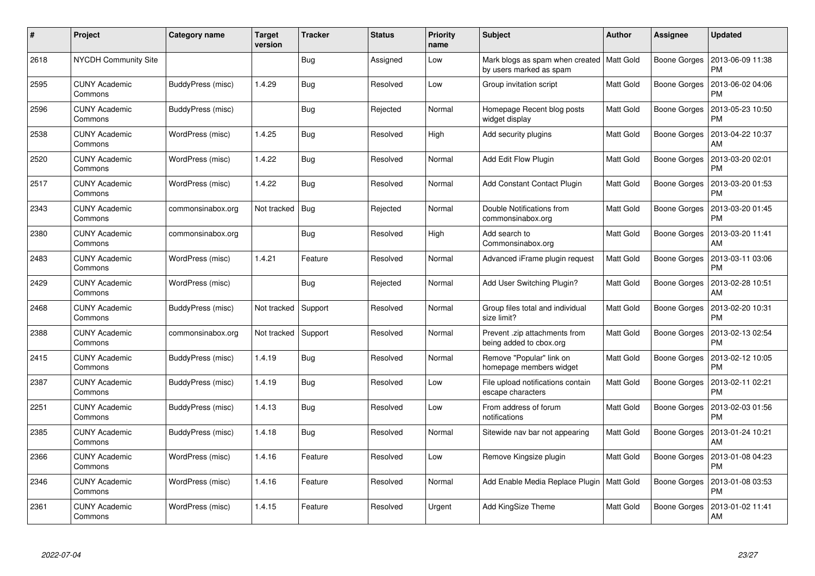| #    | Project                         | Category name     | <b>Target</b><br>version | <b>Tracker</b> | <b>Status</b> | <b>Priority</b><br>name | <b>Subject</b>                                                         | <b>Author</b>    | <b>Assignee</b>     | <b>Updated</b>                |
|------|---------------------------------|-------------------|--------------------------|----------------|---------------|-------------------------|------------------------------------------------------------------------|------------------|---------------------|-------------------------------|
| 2618 | <b>NYCDH Community Site</b>     |                   |                          | Bug            | Assigned      | Low                     | Mark blogs as spam when created   Matt Gold<br>by users marked as spam |                  | Boone Gorges        | 2013-06-09 11:38<br><b>PM</b> |
| 2595 | <b>CUNY Academic</b><br>Commons | BuddyPress (misc) | 1.4.29                   | Bug            | Resolved      | Low                     | Group invitation script                                                | Matt Gold        | Boone Gorges        | 2013-06-02 04:06<br><b>PM</b> |
| 2596 | <b>CUNY Academic</b><br>Commons | BuddyPress (misc) |                          | <b>Bug</b>     | Rejected      | Normal                  | Homepage Recent blog posts<br>widget display                           | <b>Matt Gold</b> | <b>Boone Gorges</b> | 2013-05-23 10:50<br><b>PM</b> |
| 2538 | <b>CUNY Academic</b><br>Commons | WordPress (misc)  | 1.4.25                   | <b>Bug</b>     | Resolved      | High                    | Add security plugins                                                   | Matt Gold        | <b>Boone Gorges</b> | 2013-04-22 10:37<br>AM        |
| 2520 | <b>CUNY Academic</b><br>Commons | WordPress (misc)  | 1.4.22                   | Bug            | Resolved      | Normal                  | Add Edit Flow Plugin                                                   | <b>Matt Gold</b> | <b>Boone Gorges</b> | 2013-03-20 02:01<br><b>PM</b> |
| 2517 | <b>CUNY Academic</b><br>Commons | WordPress (misc)  | 1.4.22                   | Bug            | Resolved      | Normal                  | <b>Add Constant Contact Plugin</b>                                     | <b>Matt Gold</b> | Boone Gorges        | 2013-03-20 01:53<br>PM        |
| 2343 | <b>CUNY Academic</b><br>Commons | commonsinabox.org | Not tracked              | Bug            | Rejected      | Normal                  | Double Notifications from<br>commonsinabox.org                         | <b>Matt Gold</b> | <b>Boone Gorges</b> | 2013-03-20 01:45<br><b>PM</b> |
| 2380 | <b>CUNY Academic</b><br>Commons | commonsinabox.org |                          | Bug            | Resolved      | High                    | Add search to<br>Commonsinabox.org                                     | Matt Gold        | <b>Boone Gorges</b> | 2013-03-20 11:41<br>AM        |
| 2483 | <b>CUNY Academic</b><br>Commons | WordPress (misc)  | 1.4.21                   | Feature        | Resolved      | Normal                  | Advanced iFrame plugin request                                         | <b>Matt Gold</b> | <b>Boone Gorges</b> | 2013-03-11 03:06<br><b>PM</b> |
| 2429 | <b>CUNY Academic</b><br>Commons | WordPress (misc)  |                          | <b>Bug</b>     | Rejected      | Normal                  | Add User Switching Plugin?                                             | Matt Gold        | <b>Boone Gorges</b> | 2013-02-28 10:51<br>AM        |
| 2468 | <b>CUNY Academic</b><br>Commons | BuddyPress (misc) | Not tracked              | Support        | Resolved      | Normal                  | Group files total and individual<br>size limit?                        | <b>Matt Gold</b> | <b>Boone Gorges</b> | 2013-02-20 10:31<br><b>PM</b> |
| 2388 | <b>CUNY Academic</b><br>Commons | commonsinabox.org | Not tracked              | Support        | Resolved      | Normal                  | Prevent .zip attachments from<br>being added to cbox.org               | Matt Gold        | <b>Boone Gorges</b> | 2013-02-13 02:54<br><b>PM</b> |
| 2415 | <b>CUNY Academic</b><br>Commons | BuddyPress (misc) | 1.4.19                   | <b>Bug</b>     | Resolved      | Normal                  | Remove "Popular" link on<br>homepage members widget                    | <b>Matt Gold</b> | Boone Gorges        | 2013-02-12 10:05<br>РM        |
| 2387 | <b>CUNY Academic</b><br>Commons | BuddyPress (misc) | 1.4.19                   | Bug            | Resolved      | Low                     | File upload notifications contain<br>escape characters                 | <b>Matt Gold</b> | <b>Boone Gorges</b> | 2013-02-11 02:21<br><b>PM</b> |
| 2251 | <b>CUNY Academic</b><br>Commons | BuddyPress (misc) | 1.4.13                   | <b>Bug</b>     | Resolved      | Low                     | From address of forum<br>notifications                                 | Matt Gold        | <b>Boone Gorges</b> | 2013-02-03 01:56<br><b>PM</b> |
| 2385 | <b>CUNY Academic</b><br>Commons | BuddyPress (misc) | 1.4.18                   | <b>Bug</b>     | Resolved      | Normal                  | Sitewide nav bar not appearing                                         | <b>Matt Gold</b> | <b>Boone Gorges</b> | 2013-01-24 10:21<br>AM        |
| 2366 | <b>CUNY Academic</b><br>Commons | WordPress (misc)  | 1.4.16                   | Feature        | Resolved      | Low                     | Remove Kingsize plugin                                                 | <b>Matt Gold</b> | Boone Gorges        | 2013-01-08 04:23<br><b>PM</b> |
| 2346 | <b>CUNY Academic</b><br>Commons | WordPress (misc)  | 1.4.16                   | Feature        | Resolved      | Normal                  | Add Enable Media Replace Plugin                                        | Matt Gold        | <b>Boone Gorges</b> | 2013-01-08 03:53<br><b>PM</b> |
| 2361 | CUNY Academic<br>Commons        | WordPress (misc)  | 1.4.15                   | Feature        | Resolved      | Urgent                  | Add KingSize Theme                                                     | <b>Matt Gold</b> | Boone Gorges        | 2013-01-02 11:41<br>AM        |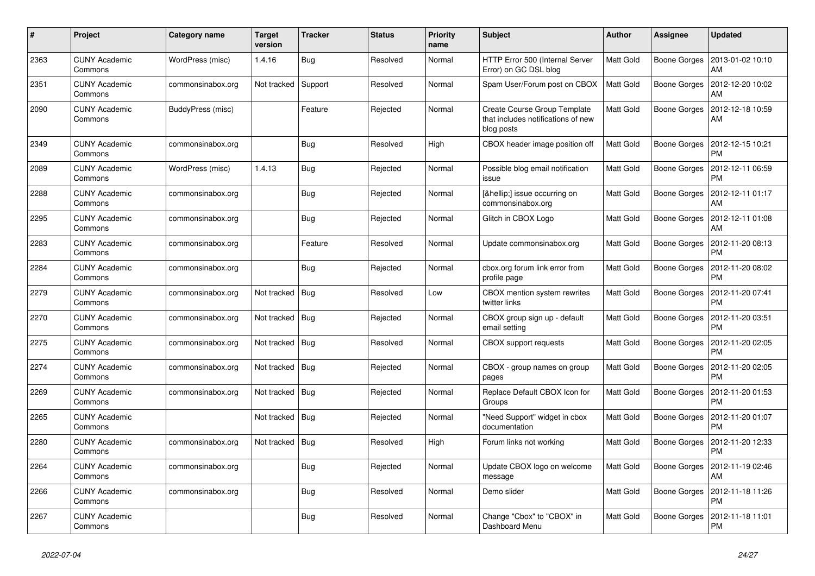| #    | Project                         | Category name     | Target<br>version | <b>Tracker</b> | <b>Status</b> | <b>Priority</b><br>name | <b>Subject</b>                                                                   | <b>Author</b>    | Assignee            | <b>Updated</b>                |
|------|---------------------------------|-------------------|-------------------|----------------|---------------|-------------------------|----------------------------------------------------------------------------------|------------------|---------------------|-------------------------------|
| 2363 | <b>CUNY Academic</b><br>Commons | WordPress (misc)  | 1.4.16            | Bug            | Resolved      | Normal                  | HTTP Error 500 (Internal Server<br>Error) on GC DSL blog                         | <b>Matt Gold</b> | <b>Boone Gorges</b> | 2013-01-02 10:10<br>AM        |
| 2351 | <b>CUNY Academic</b><br>Commons | commonsinabox.org | Not tracked       | Support        | Resolved      | Normal                  | Spam User/Forum post on CBOX                                                     | <b>Matt Gold</b> | <b>Boone Gorges</b> | 2012-12-20 10:02<br>AM        |
| 2090 | <b>CUNY Academic</b><br>Commons | BuddyPress (misc) |                   | Feature        | Rejected      | Normal                  | Create Course Group Template<br>that includes notifications of new<br>blog posts | <b>Matt Gold</b> | <b>Boone Gorges</b> | 2012-12-18 10:59<br>AM        |
| 2349 | <b>CUNY Academic</b><br>Commons | commonsinabox.org |                   | Bug            | Resolved      | High                    | CBOX header image position off                                                   | <b>Matt Gold</b> | <b>Boone Gorges</b> | 2012-12-15 10:21<br><b>PM</b> |
| 2089 | <b>CUNY Academic</b><br>Commons | WordPress (misc)  | 1.4.13            | Bug            | Rejected      | Normal                  | Possible blog email notification<br>issue                                        | <b>Matt Gold</b> | <b>Boone Gorges</b> | 2012-12-11 06:59<br><b>PM</b> |
| 2288 | <b>CUNY Academic</b><br>Commons | commonsinabox.org |                   | Bug            | Rejected      | Normal                  | […] issue occurring on<br>commonsinabox.org                                      | Matt Gold        | Boone Gorges        | 2012-12-11 01:17<br>AM        |
| 2295 | <b>CUNY Academic</b><br>Commons | commonsinabox.org |                   | <b>Bug</b>     | Rejected      | Normal                  | Glitch in CBOX Logo                                                              | Matt Gold        | <b>Boone Gorges</b> | 2012-12-11 01:08<br>AM        |
| 2283 | <b>CUNY Academic</b><br>Commons | commonsinabox.org |                   | Feature        | Resolved      | Normal                  | Update commonsinabox.org                                                         | <b>Matt Gold</b> | <b>Boone Gorges</b> | 2012-11-20 08:13<br><b>PM</b> |
| 2284 | <b>CUNY Academic</b><br>Commons | commonsinabox.org |                   | Bug            | Rejected      | Normal                  | cbox.org forum link error from<br>profile page                                   | <b>Matt Gold</b> | <b>Boone Gorges</b> | 2012-11-20 08:02<br><b>PM</b> |
| 2279 | <b>CUNY Academic</b><br>Commons | commonsinabox.org | Not tracked       | Bug            | Resolved      | Low                     | CBOX mention system rewrites<br>twitter links                                    | Matt Gold        | <b>Boone Gorges</b> | 2012-11-20 07:41<br><b>PM</b> |
| 2270 | <b>CUNY Academic</b><br>Commons | commonsinabox.org | Not tracked       | Bua            | Rejected      | Normal                  | CBOX group sign up - default<br>email setting                                    | Matt Gold        | <b>Boone Gorges</b> | 2012-11-20 03:51<br><b>PM</b> |
| 2275 | <b>CUNY Academic</b><br>Commons | commonsinabox.org | Not tracked       | Bug            | Resolved      | Normal                  | <b>CBOX</b> support requests                                                     | <b>Matt Gold</b> | <b>Boone Gorges</b> | 2012-11-20 02:05<br><b>PM</b> |
| 2274 | <b>CUNY Academic</b><br>Commons | commonsinabox.org | Not tracked       | Bug            | Rejected      | Normal                  | CBOX - group names on group<br>pages                                             | <b>Matt Gold</b> | <b>Boone Gorges</b> | 2012-11-20 02:05<br><b>PM</b> |
| 2269 | <b>CUNY Academic</b><br>Commons | commonsinabox.org | Not tracked       | Bug            | Rejected      | Normal                  | Replace Default CBOX Icon for<br>Groups                                          | Matt Gold        | Boone Gorges        | 2012-11-20 01:53<br><b>PM</b> |
| 2265 | <b>CUNY Academic</b><br>Commons |                   | Not tracked       | Bug            | Rejected      | Normal                  | "Need Support" widget in cbox<br>documentation                                   | <b>Matt Gold</b> | <b>Boone Gorges</b> | 2012-11-20 01:07<br><b>PM</b> |
| 2280 | <b>CUNY Academic</b><br>Commons | commonsinabox.org | Not tracked       | Bug            | Resolved      | High                    | Forum links not working                                                          | Matt Gold        | <b>Boone Gorges</b> | 2012-11-20 12:33<br><b>PM</b> |
| 2264 | <b>CUNY Academic</b><br>Commons | commonsinabox.org |                   | Bug            | Rejected      | Normal                  | Update CBOX logo on welcome<br>message                                           | <b>Matt Gold</b> | Boone Gorges        | 2012-11-19 02:46<br>AM        |
| 2266 | <b>CUNY Academic</b><br>Commons | commonsinabox.org |                   | <b>Bug</b>     | Resolved      | Normal                  | Demo slider                                                                      | <b>Matt Gold</b> | Boone Gorges        | 2012-11-18 11:26<br><b>PM</b> |
| 2267 | <b>CUNY Academic</b><br>Commons |                   |                   | Bug            | Resolved      | Normal                  | Change "Cbox" to "CBOX" in<br>Dashboard Menu                                     | <b>Matt Gold</b> | <b>Boone Gorges</b> | 2012-11-18 11:01<br><b>PM</b> |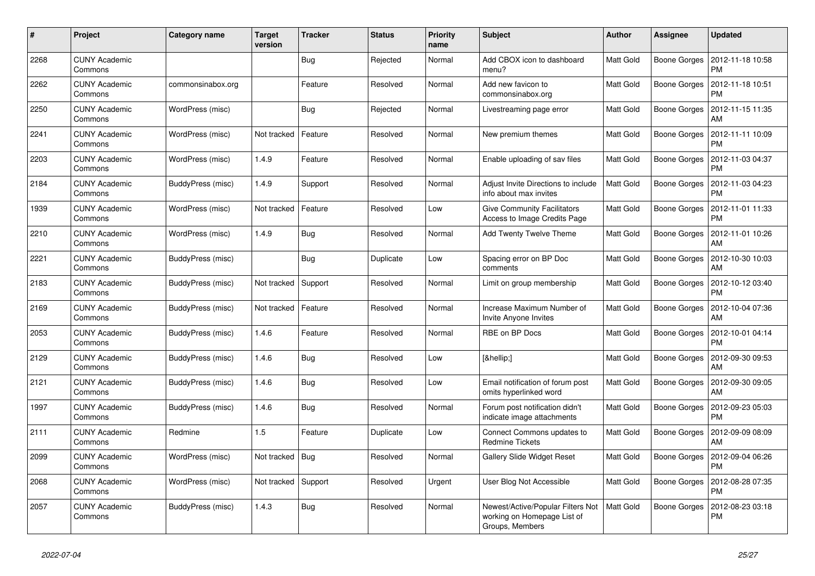| #    | <b>Project</b>                  | Category name     | Target<br>version | <b>Tracker</b> | <b>Status</b> | <b>Priority</b><br>name | <b>Subject</b>                                                                      | <b>Author</b>    | Assignee            | <b>Updated</b>                |
|------|---------------------------------|-------------------|-------------------|----------------|---------------|-------------------------|-------------------------------------------------------------------------------------|------------------|---------------------|-------------------------------|
| 2268 | <b>CUNY Academic</b><br>Commons |                   |                   | <b>Bug</b>     | Rejected      | Normal                  | Add CBOX icon to dashboard<br>menu?                                                 | <b>Matt Gold</b> | Boone Gorges        | 2012-11-18 10:58<br><b>PM</b> |
| 2262 | <b>CUNY Academic</b><br>Commons | commonsinabox.org |                   | Feature        | Resolved      | Normal                  | Add new favicon to<br>commonsinabox.org                                             | <b>Matt Gold</b> | <b>Boone Gorges</b> | 2012-11-18 10:51<br><b>PM</b> |
| 2250 | <b>CUNY Academic</b><br>Commons | WordPress (misc)  |                   | <b>Bug</b>     | Rejected      | Normal                  | Livestreaming page error                                                            | Matt Gold        | Boone Gorges        | 2012-11-15 11:35<br>AM        |
| 2241 | <b>CUNY Academic</b><br>Commons | WordPress (misc)  | Not tracked       | Feature        | Resolved      | Normal                  | New premium themes                                                                  | Matt Gold        | <b>Boone Gorges</b> | 2012-11-11 10:09<br><b>PM</b> |
| 2203 | <b>CUNY Academic</b><br>Commons | WordPress (misc)  | 1.4.9             | Feature        | Resolved      | Normal                  | Enable uploading of sav files                                                       | <b>Matt Gold</b> | Boone Gorges        | 2012-11-03 04:37<br><b>PM</b> |
| 2184 | <b>CUNY Academic</b><br>Commons | BuddyPress (misc) | 1.4.9             | Support        | Resolved      | Normal                  | Adjust Invite Directions to include<br>info about max invites                       | <b>Matt Gold</b> | Boone Gorges        | 2012-11-03 04:23<br><b>PM</b> |
| 1939 | <b>CUNY Academic</b><br>Commons | WordPress (misc)  | Not tracked       | Feature        | Resolved      | Low                     | <b>Give Community Facilitators</b><br>Access to Image Credits Page                  | <b>Matt Gold</b> | Boone Gorges        | 2012-11-01 11:33<br><b>PM</b> |
| 2210 | <b>CUNY Academic</b><br>Commons | WordPress (misc)  | 1.4.9             | Bug            | Resolved      | Normal                  | Add Twenty Twelve Theme                                                             | <b>Matt Gold</b> | Boone Gorges        | 2012-11-01 10:26<br>AM        |
| 2221 | <b>CUNY Academic</b><br>Commons | BuddyPress (misc) |                   | <b>Bug</b>     | Duplicate     | Low                     | Spacing error on BP Doc<br>comments                                                 | <b>Matt Gold</b> | <b>Boone Gorges</b> | 2012-10-30 10:03<br>AM        |
| 2183 | <b>CUNY Academic</b><br>Commons | BuddyPress (misc) | Not tracked       | Support        | Resolved      | Normal                  | Limit on group membership                                                           | Matt Gold        | Boone Gorges        | 2012-10-12 03:40<br><b>PM</b> |
| 2169 | <b>CUNY Academic</b><br>Commons | BuddyPress (misc) | Not tracked       | Feature        | Resolved      | Normal                  | Increase Maximum Number of<br>Invite Anyone Invites                                 | <b>Matt Gold</b> | Boone Gorges        | 2012-10-04 07:36<br>AM        |
| 2053 | <b>CUNY Academic</b><br>Commons | BuddyPress (misc) | 1.4.6             | Feature        | Resolved      | Normal                  | RBE on BP Docs                                                                      | <b>Matt Gold</b> | <b>Boone Gorges</b> | 2012-10-01 04:14<br><b>PM</b> |
| 2129 | <b>CUNY Academic</b><br>Commons | BuddyPress (misc) | 1.4.6             | Bug            | Resolved      | Low                     | […]                                                                                 | Matt Gold        | Boone Gorges        | 2012-09-30 09:53<br>AM        |
| 2121 | <b>CUNY Academic</b><br>Commons | BuddyPress (misc) | 1.4.6             | Bug            | Resolved      | Low                     | Email notification of forum post<br>omits hyperlinked word                          | <b>Matt Gold</b> | Boone Gorges        | 2012-09-30 09:05<br>AM        |
| 1997 | <b>CUNY Academic</b><br>Commons | BuddyPress (misc) | 1.4.6             | Bug            | Resolved      | Normal                  | Forum post notification didn't<br>indicate image attachments                        | <b>Matt Gold</b> | <b>Boone Gorges</b> | 2012-09-23 05:03<br><b>PM</b> |
| 2111 | <b>CUNY Academic</b><br>Commons | Redmine           | 1.5               | Feature        | Duplicate     | Low                     | Connect Commons updates to<br><b>Redmine Tickets</b>                                | <b>Matt Gold</b> | Boone Gorges        | 2012-09-09 08:09<br>AM        |
| 2099 | <b>CUNY Academic</b><br>Commons | WordPress (misc)  | Not tracked       | Bug            | Resolved      | Normal                  | <b>Gallery Slide Widget Reset</b>                                                   | <b>Matt Gold</b> | Boone Gorges        | 2012-09-04 06:26<br><b>PM</b> |
| 2068 | <b>CUNY Academic</b><br>Commons | WordPress (misc)  | Not tracked       | Support        | Resolved      | Urgent                  | User Blog Not Accessible                                                            | <b>Matt Gold</b> | <b>Boone Gorges</b> | 2012-08-28 07:35<br><b>PM</b> |
| 2057 | <b>CUNY Academic</b><br>Commons | BuddyPress (misc) | 1.4.3             | Bug            | Resolved      | Normal                  | Newest/Active/Popular Filters Not<br>working on Homepage List of<br>Groups, Members | Matt Gold        | Boone Gorges        | 2012-08-23 03:18<br><b>PM</b> |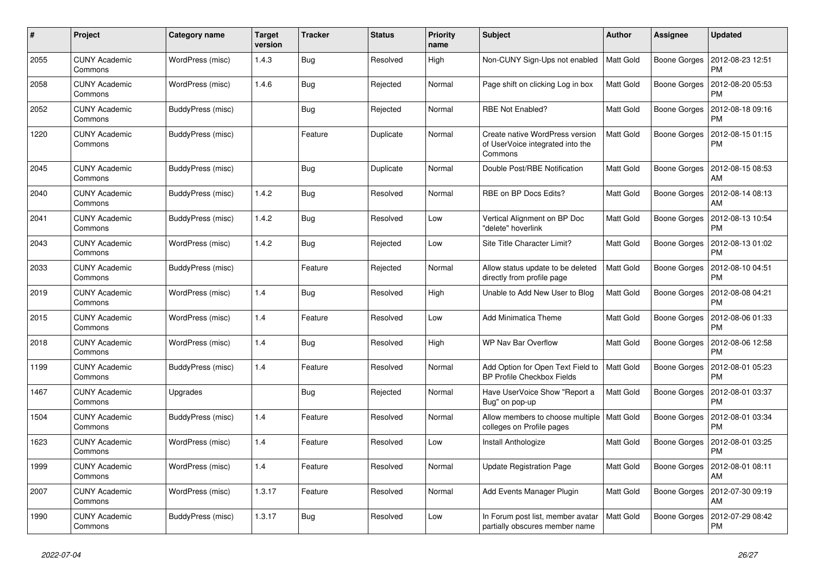| #    | Project                         | Category name     | Target<br>version | <b>Tracker</b> | <b>Status</b> | <b>Priority</b><br>name | <b>Subject</b>                                                                 | <b>Author</b>    | Assignee            | <b>Updated</b>                |
|------|---------------------------------|-------------------|-------------------|----------------|---------------|-------------------------|--------------------------------------------------------------------------------|------------------|---------------------|-------------------------------|
| 2055 | <b>CUNY Academic</b><br>Commons | WordPress (misc)  | 1.4.3             | Bug            | Resolved      | High                    | Non-CUNY Sign-Ups not enabled                                                  | <b>Matt Gold</b> | <b>Boone Gorges</b> | 2012-08-23 12:51<br><b>PM</b> |
| 2058 | <b>CUNY Academic</b><br>Commons | WordPress (misc)  | 1.4.6             | <b>Bug</b>     | Rejected      | Normal                  | Page shift on clicking Log in box                                              | Matt Gold        | <b>Boone Gorges</b> | 2012-08-20 05:53<br><b>PM</b> |
| 2052 | <b>CUNY Academic</b><br>Commons | BuddyPress (misc) |                   | Bug            | Rejected      | Normal                  | RBE Not Enabled?                                                               | Matt Gold        | Boone Gorges        | 2012-08-18 09:16<br><b>PM</b> |
| 1220 | <b>CUNY Academic</b><br>Commons | BuddyPress (misc) |                   | Feature        | Duplicate     | Normal                  | Create native WordPress version<br>of UserVoice integrated into the<br>Commons | Matt Gold        | Boone Gorges        | 2012-08-15 01:15<br><b>PM</b> |
| 2045 | <b>CUNY Academic</b><br>Commons | BuddyPress (misc) |                   | Bug            | Duplicate     | Normal                  | Double Post/RBE Notification                                                   | <b>Matt Gold</b> | Boone Gorges        | 2012-08-15 08:53<br>AM        |
| 2040 | <b>CUNY Academic</b><br>Commons | BuddyPress (misc) | 1.4.2             | <b>Bug</b>     | Resolved      | Normal                  | RBE on BP Docs Edits?                                                          | <b>Matt Gold</b> | <b>Boone Gorges</b> | 2012-08-14 08:13<br>AM        |
| 2041 | <b>CUNY Academic</b><br>Commons | BuddyPress (misc) | 1.4.2             | Bug            | Resolved      | Low                     | Vertical Alignment on BP Doc<br>"delete" hoverlink                             | <b>Matt Gold</b> | <b>Boone Gorges</b> | 2012-08-13 10:54<br><b>PM</b> |
| 2043 | <b>CUNY Academic</b><br>Commons | WordPress (misc)  | 1.4.2             | <b>Bug</b>     | Rejected      | Low                     | Site Title Character Limit?                                                    | <b>Matt Gold</b> | <b>Boone Gorges</b> | 2012-08-13 01:02<br><b>PM</b> |
| 2033 | <b>CUNY Academic</b><br>Commons | BuddyPress (misc) |                   | Feature        | Rejected      | Normal                  | Allow status update to be deleted<br>directly from profile page                | <b>Matt Gold</b> | Boone Gorges        | 2012-08-10 04:51<br><b>PM</b> |
| 2019 | <b>CUNY Academic</b><br>Commons | WordPress (misc)  | 1.4               | <b>Bug</b>     | Resolved      | High                    | Unable to Add New User to Blog                                                 | Matt Gold        | Boone Gorges        | 2012-08-08 04:21<br><b>PM</b> |
| 2015 | <b>CUNY Academic</b><br>Commons | WordPress (misc)  | 1.4               | Feature        | Resolved      | Low                     | <b>Add Minimatica Theme</b>                                                    | <b>Matt Gold</b> | Boone Gorges        | 2012-08-06 01:33<br><b>PM</b> |
| 2018 | <b>CUNY Academic</b><br>Commons | WordPress (misc)  | 1.4               | <b>Bug</b>     | Resolved      | High                    | WP Nav Bar Overflow                                                            | Matt Gold        | Boone Gorges        | 2012-08-06 12:58<br><b>PM</b> |
| 1199 | <b>CUNY Academic</b><br>Commons | BuddyPress (misc) | 1.4               | Feature        | Resolved      | Normal                  | Add Option for Open Text Field to<br>BP Profile Checkbox Fields                | <b>Matt Gold</b> | Boone Gorges        | 2012-08-01 05:23<br><b>PM</b> |
| 1467 | <b>CUNY Academic</b><br>Commons | Upgrades          |                   | <b>Bug</b>     | Rejected      | Normal                  | Have UserVoice Show "Report a<br>Bug" on pop-up                                | <b>Matt Gold</b> | Boone Gorges        | 2012-08-01 03:37<br><b>PM</b> |
| 1504 | <b>CUNY Academic</b><br>Commons | BuddyPress (misc) | 1.4               | Feature        | Resolved      | Normal                  | Allow members to choose multiple<br>colleges on Profile pages                  | Matt Gold        | Boone Gorges        | 2012-08-01 03:34<br><b>PM</b> |
| 1623 | <b>CUNY Academic</b><br>Commons | WordPress (misc)  | 1.4               | Feature        | Resolved      | Low                     | Install Anthologize                                                            | <b>Matt Gold</b> | <b>Boone Gorges</b> | 2012-08-01 03:25<br><b>PM</b> |
| 1999 | <b>CUNY Academic</b><br>Commons | WordPress (misc)  | 1.4               | Feature        | Resolved      | Normal                  | <b>Update Registration Page</b>                                                | <b>Matt Gold</b> | Boone Gorges        | 2012-08-01 08:11<br>AM        |
| 2007 | <b>CUNY Academic</b><br>Commons | WordPress (misc)  | 1.3.17            | Feature        | Resolved      | Normal                  | Add Events Manager Plugin                                                      | <b>Matt Gold</b> | Boone Gorges        | 2012-07-30 09:19<br>AM        |
| 1990 | <b>CUNY Academic</b><br>Commons | BuddyPress (misc) | 1.3.17            | Bug            | Resolved      | Low                     | In Forum post list, member avatar<br>partially obscures member name            | <b>Matt Gold</b> | Boone Gorges        | 2012-07-29 08:42<br><b>PM</b> |